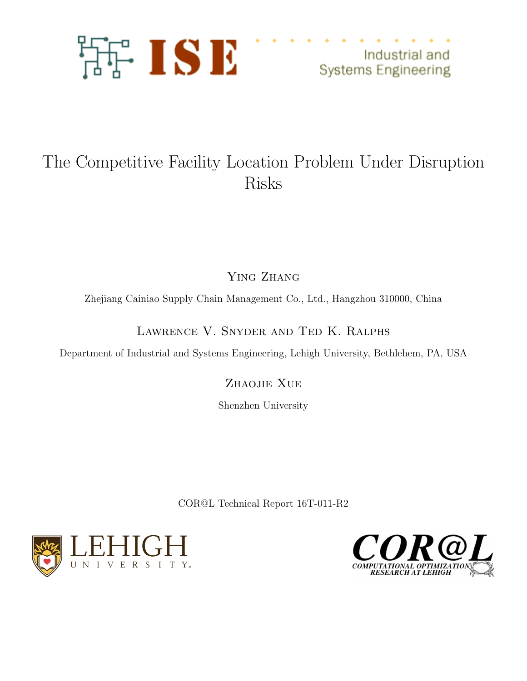

# The Competitive Facility Location Problem Under Disruption Risks

YING ZHANG

Zhejiang Cainiao Supply Chain Management Co., Ltd., Hangzhou 310000, China

Lawrence V. Snyder and Ted K. Ralphs

Department of Industrial and Systems Engineering, Lehigh University, Bethlehem, PA, USA

ZHAOJIE XUE

Shenzhen University

COR@L Technical Report 16T-011-R2



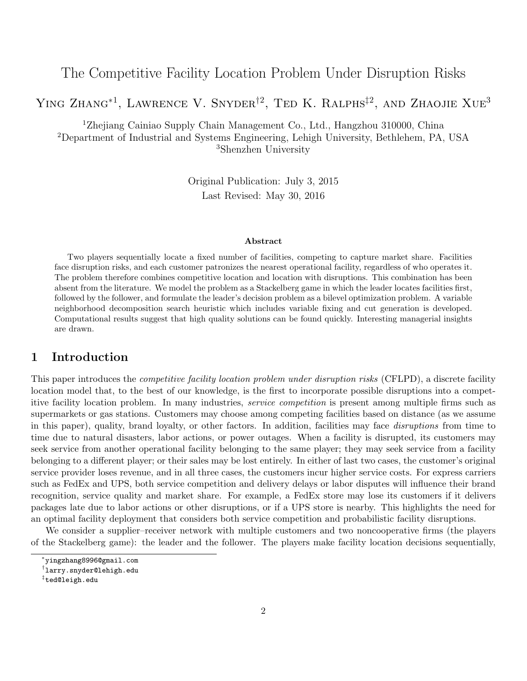# The Competitive Facility Location Problem Under Disruption Risks

# YING ZHANG<sup>\*1</sup>, LAWRENCE V. SNYDER<sup>†2</sup>, TED K. RALPHS<sup>‡2</sup>, AND ZHAOJIE XUE<sup>3</sup>

<sup>1</sup>Zhejiang Cainiao Supply Chain Management Co., Ltd., Hangzhou 310000, China

<sup>2</sup>Department of Industrial and Systems Engineering, Lehigh University, Bethlehem, PA, USA <sup>3</sup>Shenzhen University

> Original Publication: July 3, 2015 Last Revised: May 30, 2016

#### Abstract

Two players sequentially locate a fixed number of facilities, competing to capture market share. Facilities face disruption risks, and each customer patronizes the nearest operational facility, regardless of who operates it. The problem therefore combines competitive location and location with disruptions. This combination has been absent from the literature. We model the problem as a Stackelberg game in which the leader locates facilities first, followed by the follower, and formulate the leader's decision problem as a bilevel optimization problem. A variable neighborhood decomposition search heuristic which includes variable fixing and cut generation is developed. Computational results suggest that high quality solutions can be found quickly. Interesting managerial insights are drawn.

## <span id="page-1-0"></span>1 Introduction

This paper introduces the *competitive facility location problem under disruption risks* (CFLPD), a discrete facility location model that, to the best of our knowledge, is the first to incorporate possible disruptions into a competitive facility location problem. In many industries, service competition is present among multiple firms such as supermarkets or gas stations. Customers may choose among competing facilities based on distance (as we assume in this paper), quality, brand loyalty, or other factors. In addition, facilities may face disruptions from time to time due to natural disasters, labor actions, or power outages. When a facility is disrupted, its customers may seek service from another operational facility belonging to the same player; they may seek service from a facility belonging to a different player; or their sales may be lost entirely. In either of last two cases, the customer's original service provider loses revenue, and in all three cases, the customers incur higher service costs. For express carriers such as FedEx and UPS, both service competition and delivery delays or labor disputes will influence their brand recognition, service quality and market share. For example, a FedEx store may lose its customers if it delivers packages late due to labor actions or other disruptions, or if a UPS store is nearby. This highlights the need for an optimal facility deployment that considers both service competition and probabilistic facility disruptions.

We consider a supplier–receiver network with multiple customers and two noncooperative firms (the players of the Stackelberg game): the leader and the follower. The players make facility location decisions sequentially,

<sup>∗</sup> yingzhang8996@gmail.com

<sup>†</sup> larry.snyder@lehigh.edu

<sup>‡</sup> ted@leigh.edu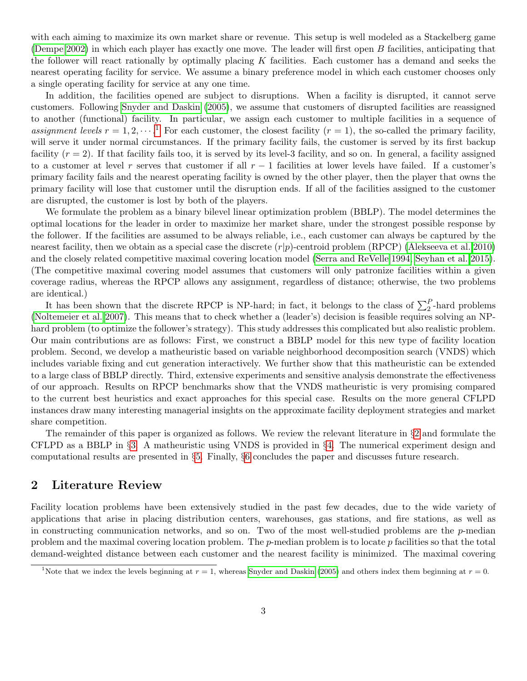with each aiming to maximize its own market share or revenue. This setup is well modeled as a Stackelberg game [\(Dempe 2002\)](#page-30-0) in which each player has exactly one move. The leader will first open B facilities, anticipating that the follower will react rationally by optimally placing K facilities. Each customer has a demand and seeks the nearest operating facility for service. We assume a binary preference model in which each customer chooses only a single operating facility for service at any one time.

In addition, the facilities opened are subject to disruptions. When a facility is disrupted, it cannot serve customers. Following [Snyder and Daskin](#page-31-0) [\(2005\)](#page-31-0), we assume that customers of disrupted facilities are reassigned to another (functional) facility. In particular, we assign each customer to multiple facilities in a sequence of assignment levels  $r = 1, 2, \dots$  $r = 1, 2, \dots$  $r = 1, 2, \dots$ <sup>1</sup> For each customer, the closest facility  $(r = 1)$ , the so-called the primary facility, will serve it under normal circumstances. If the primary facility fails, the customer is served by its first backup facility  $(r = 2)$ . If that facility fails too, it is served by its level-3 facility, and so on. In general, a facility assigned to a customer at level r serves that customer if all  $r - 1$  facilities at lower levels have failed. If a customer's primary facility fails and the nearest operating facility is owned by the other player, then the player that owns the primary facility will lose that customer until the disruption ends. If all of the facilities assigned to the customer are disrupted, the customer is lost by both of the players.

We formulate the problem as a binary bilevel linear optimization problem (BBLP). The model determines the optimal locations for the leader in order to maximize her market share, under the strongest possible response by the follower. If the facilities are assumed to be always reliable, i.e., each customer can always be captured by the nearest facility, then we obtain as a special case the discrete  $(r|p)$ -centroid problem (RPCP) [\(Alekseeva et al. 2010\)](#page-29-0) and the closely related competitive maximal covering location model [\(Serra and ReVelle 1994,](#page-31-1) [Seyhan et al. 2015\)](#page-31-2). (The competitive maximal covering model assumes that customers will only patronize facilities within a given coverage radius, whereas the RPCP allows any assignment, regardless of distance; otherwise, the two problems are identical.)

It has been shown that the discrete RPCP is NP-hard; in fact, it belongs to the class of  $\sum_{2}^{P}$ -hard problems [\(Noltemeier et al. 2007\)](#page-31-3). This means that to check whether a (leader's) decision is feasible requires solving an NPhard problem (to optimize the follower's strategy). This study addresses this complicated but also realistic problem. Our main contributions are as follows: First, we construct a BBLP model for this new type of facility location problem. Second, we develop a matheuristic based on variable neighborhood decomposition search (VNDS) which includes variable fixing and cut generation interactively. We further show that this matheuristic can be extended to a large class of BBLP directly. Third, extensive experiments and sensitive analysis demonstrate the effectiveness of our approach. Results on RPCP benchmarks show that the VNDS matheuristic is very promising compared to the current best heuristics and exact approaches for this special case. Results on the more general CFLPD instances draw many interesting managerial insights on the approximate facility deployment strategies and market share competition.

The remainder of this paper is organized as follows. We review the relevant literature in §[2](#page-2-1) and formulate the CFLPD as a BBLP in §[3.](#page-4-0) A matheuristic using VNDS is provided in §[4.](#page-7-0) The numerical experiment design and computational results are presented in §[5.](#page-16-0) Finally, §[6](#page-27-0) concludes the paper and discusses future research.

## <span id="page-2-1"></span>2 Literature Review

Facility location problems have been extensively studied in the past few decades, due to the wide variety of applications that arise in placing distribution centers, warehouses, gas stations, and fire stations, as well as in constructing communication networks, and so on. Two of the most well-studied problems are the p-median problem and the maximal covering location problem. The  $p$ -median problem is to locate  $p$  facilities so that the total demand-weighted distance between each customer and the nearest facility is minimized. The maximal covering

<span id="page-2-0"></span><sup>&</sup>lt;sup>1</sup>Note that we index the levels beginning at  $r = 1$ , whereas [Snyder and Daskin](#page-31-0) [\(2005\)](#page-31-0) and others index them beginning at  $r = 0$ .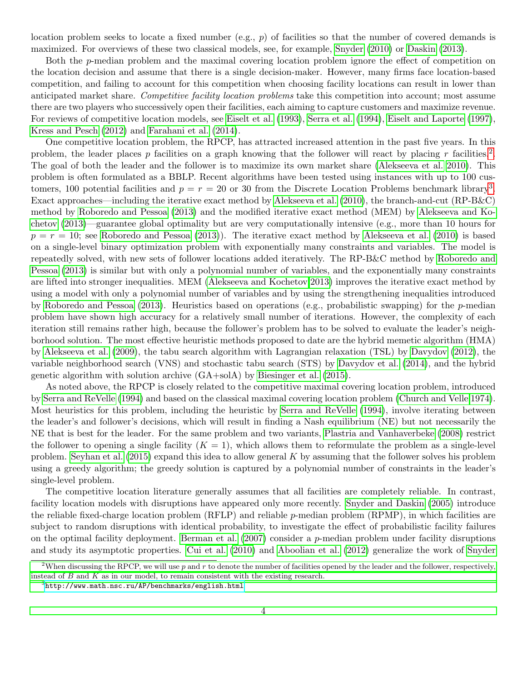location problem seeks to locate a fixed number (e.g., p) of facilities so that the number of covered demands is maximized. For overviews of these two classical models, see, for example, [Snyder](#page-31-4) [\(2010\)](#page-31-4) or [Daskin](#page-30-1) [\(2013\)](#page-30-1).

Both the p-median problem and the maximal covering location problem ignore the effect of competition on the location decision and assume that there is a single decision-maker. However, many firms face location-based competition, and failing to account for this competition when choosing facility locations can result in lower than anticipated market share. Competitive facility location problems take this competition into account; most assume there are two players who successively open their facilities, each aiming to capture customers and maximize revenue. For reviews of competitive location models, see [Eiselt et al.](#page-30-2) [\(1993\)](#page-30-2), [Serra et al.](#page-31-5) [\(1994\)](#page-31-5), [Eiselt and Laporte](#page-30-3) [\(1997\)](#page-30-3), [Kress and Pesch](#page-31-6) [\(2012\)](#page-31-6) and [Farahani et al.](#page-30-4) [\(2014\)](#page-30-4).

One competitive location problem, the RPCP, has attracted increased attention in the past five years. In this problem, the leader places p facilities on a graph knowing that the follower will react by placing r facilities.<sup>[2](#page-3-0)</sup>. The goal of both the leader and the follower is to maximize its own market share [\(Alekseeva et al. 2010\)](#page-29-0). This problem is often formulated as a BBLP. Recent algorithms have been tested using instances with up to 100 customers, 100 potential facilities and  $p = r = 20$  or [3](#page-3-1)0 from the Discrete Location Problems benchmark library<sup>3</sup>. Exact approaches—including the iterative exact method by [Alekseeva et al.](#page-29-0) [\(2010\)](#page-29-0), the branch-and-cut (RP-B&C) method by [Roboredo and Pessoa](#page-31-7) [\(2013\)](#page-31-7) and the modified iterative exact method (MEM) by [Alekseeva and Ko](#page-29-1)[chetov](#page-29-1) [\(2013\)](#page-29-1)—guarantee global optimality but are very computationally intensive (e.g., more than 10 hours for  $p = r = 10$ ; see [Roboredo and Pessoa](#page-31-7) [\(2013\)](#page-31-7)). The iterative exact method by [Alekseeva et al.](#page-29-0) [\(2010\)](#page-29-0) is based on a single-level binary optimization problem with exponentially many constraints and variables. The model is repeatedly solved, with new sets of follower locations added iteratively. The RP-B&C method by [Roboredo and](#page-31-7) [Pessoa](#page-31-7) [\(2013\)](#page-31-7) is similar but with only a polynomial number of variables, and the exponentially many constraints are lifted into stronger inequalities. MEM [\(Alekseeva and Kochetov 2013\)](#page-29-1) improves the iterative exact method by using a model with only a polynomial number of variables and by using the strengthening inequalities introduced by [Roboredo and Pessoa](#page-31-7) [\(2013\)](#page-31-7). Heuristics based on operations (e.g., probabilistic swapping) for the p-median problem have shown high accuracy for a relatively small number of iterations. However, the complexity of each iteration still remains rather high, because the follower's problem has to be solved to evaluate the leader's neighborhood solution. The most effective heuristic methods proposed to date are the hybrid memetic algorithm (HMA) by [Alekseeva et al.](#page-29-2) [\(2009\)](#page-29-2), the tabu search algorithm with Lagrangian relaxation (TSL) by [Davydov](#page-30-5) [\(2012\)](#page-30-5), the variable neighborhood search (VNS) and stochastic tabu search (STS) by [Davydov et al.](#page-30-6) [\(2014\)](#page-30-6), and the hybrid genetic algorithm with solution archive (GA+solA) by [Biesinger et al.](#page-29-3) [\(2015\)](#page-29-3).

As noted above, the RPCP is closely related to the competitive maximal covering location problem, introduced by [Serra and ReVelle](#page-31-1) [\(1994\)](#page-31-1) and based on the classical maximal covering location problem [\(Church and Velle 1974\)](#page-29-4). Most heuristics for this problem, including the heuristic by [Serra and ReVelle](#page-31-1) [\(1994\)](#page-31-1), involve iterating between the leader's and follower's decisions, which will result in finding a Nash equilibrium (NE) but not necessarily the NE that is best for the leader. For the same problem and two variants, [Plastria and Vanhaverbeke](#page-31-8) [\(2008\)](#page-31-8) restrict the follower to opening a single facility  $(K = 1)$ , which allows them to reformulate the problem as a single-level problem. [Seyhan et al.](#page-31-2) [\(2015\)](#page-31-2) expand this idea to allow general  $K$  by assuming that the follower solves his problem using a greedy algorithm; the greedy solution is captured by a polynomial number of constraints in the leader's single-level problem.

The competitive location literature generally assumes that all facilities are completely reliable. In contrast, facility location models with disruptions have appeared only more recently. [Snyder and Daskin](#page-31-0) [\(2005\)](#page-31-0) introduce the reliable fixed-charge location problem  $(RFLP)$  and reliable p-median problem  $(RPMP)$ , in which facilities are subject to random disruptions with identical probability, to investigate the effect of probabilistic facility failures on the optimal facility deployment. [Berman et al.](#page-29-5)  $(2007)$  consider a p-median problem under facility disruptions and study its asymptotic properties. [Cui et al.](#page-30-7) [\(2010\)](#page-30-7) and [Aboolian et al.](#page-29-6) [\(2012\)](#page-29-6) generalize the work of [Snyder](#page-31-0)

<span id="page-3-0"></span><sup>&</sup>lt;sup>2</sup>When discussing the RPCP, we will use p and r [to denote the number of facilities opened by the leader and the follower, respectively,](#page-31-0) instead of  $B$  and  $K$  [as in our model, to remain consistent with the existing research.](#page-31-0)

<span id="page-3-1"></span> $^3$ [http://www.math.nsc.ru/AP/benchmarks/english.html](#page-31-0)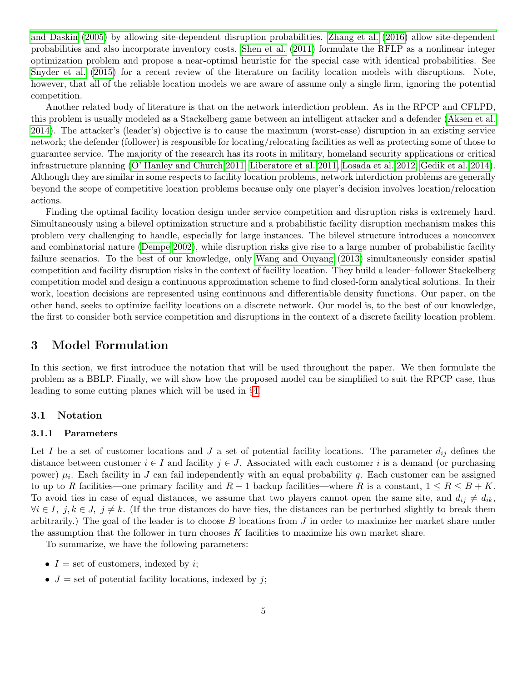[and Daskin](#page-31-0) [\(2005\)](#page-31-0) by allowing site-dependent disruption probabilities. [Zhang et al.](#page-32-0) [\(2016\)](#page-32-0) allow site-dependent probabilities and also incorporate inventory costs. [Shen et al.](#page-31-9) [\(2011\)](#page-31-9) formulate the RFLP as a nonlinear integer optimization problem and propose a near-optimal heuristic for the special case with identical probabilities. See [Snyder et al.](#page-31-10) [\(2015\)](#page-31-10) for a recent review of the literature on facility location models with disruptions. Note, however, that all of the reliable location models we are aware of assume only a single firm, ignoring the potential competition.

Another related body of literature is that on the network interdiction problem. As in the RPCP and CFLPD, this problem is usually modeled as a Stackelberg game between an intelligent attacker and a defender [\(Aksen et al.](#page-29-7) [2014\)](#page-29-7). The attacker's (leader's) objective is to cause the maximum (worst-case) disruption in an existing service network; the defender (follower) is responsible for locating/relocating facilities as well as protecting some of those to guarantee service. The majority of the research has its roots in military, homeland security applications or critical infrastructure planning [\(O' Hanley and Church 2011,](#page-31-11) [Liberatore et al. 2011,](#page-31-12) [Losada et al. 2012,](#page-31-13) [Gedik et al. 2014\)](#page-30-8). Although they are similar in some respects to facility location problems, network interdiction problems are generally beyond the scope of competitive location problems because only one player's decision involves location/relocation actions.

Finding the optimal facility location design under service competition and disruption risks is extremely hard. Simultaneously using a bilevel optimization structure and a probabilistic facility disruption mechanism makes this problem very challenging to handle, especially for large instances. The bilevel structure introduces a nonconvex and combinatorial nature [\(Dempe 2002\)](#page-30-0), while disruption risks give rise to a large number of probabilistic facility failure scenarios. To the best of our knowledge, only [Wang and Ouyang](#page-31-14) [\(2013\)](#page-31-14) simultaneously consider spatial competition and facility disruption risks in the context of facility location. They build a leader–follower Stackelberg competition model and design a continuous approximation scheme to find closed-form analytical solutions. In their work, location decisions are represented using continuous and differentiable density functions. Our paper, on the other hand, seeks to optimize facility locations on a discrete network. Our model is, to the best of our knowledge, the first to consider both service competition and disruptions in the context of a discrete facility location problem.

## <span id="page-4-0"></span>3 Model Formulation

In this section, we first introduce the notation that will be used throughout the paper. We then formulate the problem as a BBLP. Finally, we will show how the proposed model can be simplified to suit the RPCP case, thus leading to some cutting planes which will be used in §[4.](#page-7-0)

#### 3.1 Notation

#### <span id="page-4-1"></span>3.1.1 Parameters

Let I be a set of customer locations and J a set of potential facility locations. The parameter  $d_{ij}$  defines the distance between customer  $i \in I$  and facility  $j \in J$ . Associated with each customer i is a demand (or purchasing power)  $\mu_i$ . Each facility in J can fail independently with an equal probability q. Each customer can be assigned to up to R facilities—one primary facility and  $R-1$  backup facilities—where R is a constant,  $1 \leq R \leq B + K$ . To avoid ties in case of equal distances, we assume that two players cannot open the same site, and  $d_{ij} \neq d_{ik}$ ,  $\forall i \in I, j, k \in J, j \neq k$ . (If the true distances do have ties, the distances can be perturbed slightly to break them arbitrarily.) The goal of the leader is to choose  $B$  locations from  $J$  in order to maximize her market share under the assumption that the follower in turn chooses  $K$  facilities to maximize his own market share.

To summarize, we have the following parameters:

- $I =$  set of customers, indexed by i;
- $J =$  set of potential facility locations, indexed by j;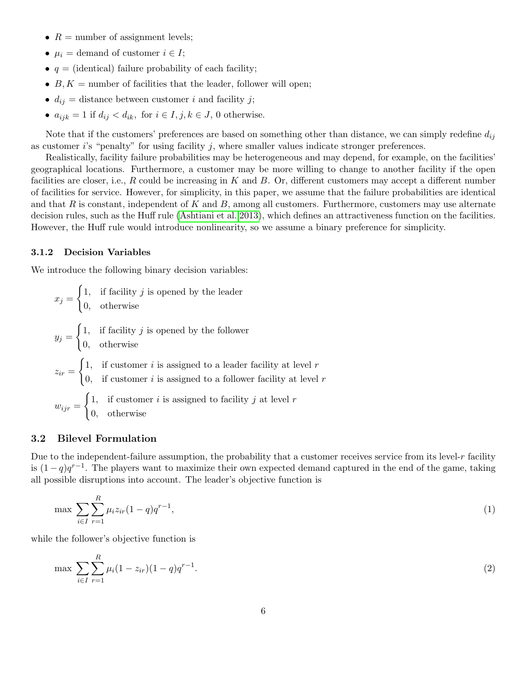- $R =$  number of assignment levels;
- $\mu_i$  = demand of customer  $i \in I$ ;
- $q =$  (identical) failure probability of each facility;
- $B, K =$  number of facilities that the leader, follower will open;
- $d_{ij}$  = distance between customer i and facility j;
- $a_{ijk} = 1$  if  $d_{ij} < d_{ik}$ , for  $i \in I, j, k \in J$ , 0 otherwise.

Note that if the customers' preferences are based on something other than distance, we can simply redefine  $d_{ij}$ as customer  $i$ 's "penalty" for using facility  $j$ , where smaller values indicate stronger preferences.

Realistically, facility failure probabilities may be heterogeneous and may depend, for example, on the facilities' geographical locations. Furthermore, a customer may be more willing to change to another facility if the open facilities are closer, i.e., R could be increasing in K and B. Or, different customers may accept a different number of facilities for service. However, for simplicity, in this paper, we assume that the failure probabilities are identical and that R is constant, independent of K and B, among all customers. Furthermore, customers may use alternate decision rules, such as the Huff rule [\(Ashtiani et al. 2013\)](#page-29-8), which defines an attractiveness function on the facilities. However, the Huff rule would introduce nonlinearity, so we assume a binary preference for simplicity.

#### 3.1.2 Decision Variables

We introduce the following binary decision variables:

$$
x_j = \begin{cases} 1, & \text{if facility } j \text{ is opened by the leader} \\ 0, & \text{otherwise} \end{cases}
$$
  

$$
y_j = \begin{cases} 1, & \text{if facility } j \text{ is opened by the follower} \\ 0, & \text{otherwise} \end{cases}
$$
  

$$
z_{ir} = \begin{cases} 1, & \text{if customer } i \text{ is assigned to a leader facility at level } r \\ 0, & \text{if customer } i \text{ is assigned to a follower facility at level } r \end{cases}
$$
  

$$
w_{ijr} = \begin{cases} 1, & \text{if customer } i \text{ is assigned to facility } j \text{ at level } r \\ 0, & \text{otherwise} \end{cases}
$$

#### 3.2 Bilevel Formulation

Due to the independent-failure assumption, the probability that a customer receives service from its level- $r$  facility is  $(1-q)q^{r-1}$ . The players want to maximize their own expected demand captured in the end of the game, taking all possible disruptions into account. The leader's objective function is

$$
\max \sum_{i \in I} \sum_{r=1}^{R} \mu_i z_{ir} (1 - q) q^{r-1}, \tag{1}
$$

while the follower's objective function is

<span id="page-5-0"></span>
$$
\max \sum_{i \in I} \sum_{r=1}^{R} \mu_i (1 - z_{ir}) (1 - q) q^{r-1}.
$$
\n(2)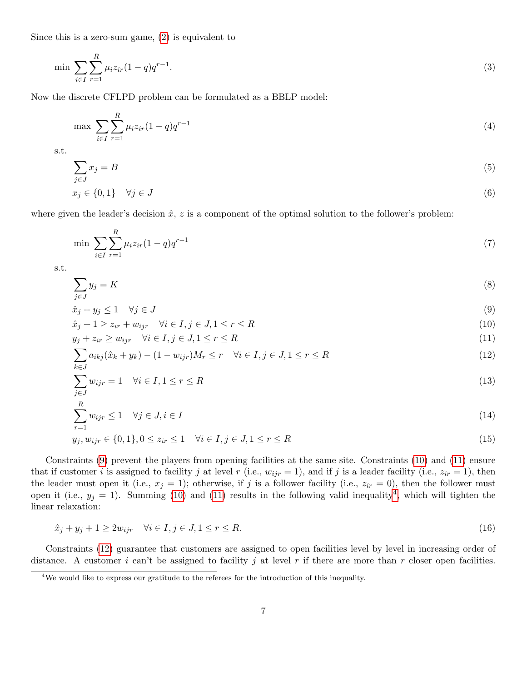Since this is a zero-sum game, [\(2\)](#page-5-0) is equivalent to

$$
\min \sum_{i \in I} \sum_{r=1}^{R} \mu_i z_{ir} (1 - q) q^{r-1}.
$$
\n(3)

Now the discrete CFLPD problem can be formulated as a BBLP model:

<span id="page-6-9"></span>
$$
\max \sum_{i \in I} \sum_{r=1}^{R} \mu_i z_{ir} (1 - q) q^{r-1} \tag{4}
$$

s.t.

$$
\sum_{j \in J} x_j = B \tag{5}
$$

<span id="page-6-7"></span>
$$
x_j \in \{0, 1\} \quad \forall j \in J \tag{6}
$$

where given the leader's decision  $\hat{x}$ , z is a component of the optimal solution to the follower's problem:

$$
\min \sum_{i \in I} \sum_{r=1}^{R} \mu_i z_{ir} (1 - q) q^{r-1} \tag{7}
$$

s.t.

<span id="page-6-8"></span><span id="page-6-6"></span> $r=1$ 

<span id="page-6-11"></span><span id="page-6-10"></span><span id="page-6-1"></span><span id="page-6-0"></span>
$$
\sum_{j \in J} y_j = K \tag{8}
$$

$$
\hat{x}_j + y_j \le 1 \quad \forall j \in J \tag{9}
$$

<span id="page-6-2"></span>
$$
\hat{x}_j + 1 \ge z_{ir} + w_{ijr} \quad \forall i \in I, j \in J, 1 \le r \le R \tag{10}
$$

$$
y_j + z_{ir} \ge w_{ijr} \quad \forall i \in I, j \in J, 1 \le r \le R \tag{11}
$$

$$
\sum_{k \in J} a_{ikj} (\hat{x}_k + y_k) - (1 - w_{ijr}) M_r \le r \quad \forall i \in I, j \in J, 1 \le r \le R
$$
\n(12)

<span id="page-6-5"></span><span id="page-6-4"></span>
$$
\sum_{j \in J} w_{ijr} = 1 \quad \forall i \in I, 1 \le r \le R \tag{13}
$$

$$
\sum^{R} w_{ijr} \le 1 \quad \forall j \in J, i \in I \tag{14}
$$

$$
y_j, w_{ijr} \in \{0, 1\}, 0 \le z_{ir} \le 1 \quad \forall i \in I, j \in J, 1 \le r \le R
$$
\n
$$
(15)
$$

Constraints [\(9\)](#page-6-0) prevent the players from opening facilities at the same site. Constraints [\(10\)](#page-6-1) and [\(11\)](#page-6-2) ensure that if customer i is assigned to facility j at level r (i.e.,  $w_{ijr} = 1$ ), and if j is a leader facility (i.e.,  $z_{ir} = 1$ ), then the leader must open it (i.e.,  $x_j = 1$ ); otherwise, if j is a follower facility (i.e.,  $z_{ir} = 0$ ), then the follower must open it (i.e.,  $y_j = 1$ ). Summing [\(10\)](#page-6-1) and [\(11\)](#page-6-2) results in the following valid inequality<sup>[4](#page-6-3)</sup>, which will tighten the linear relaxation:

$$
\hat{x}_j + y_j + 1 \ge 2w_{ijr} \quad \forall i \in I, j \in J, 1 \le r \le R. \tag{16}
$$

Constraints [\(12\)](#page-6-4) guarantee that customers are assigned to open facilities level by level in increasing order of distance. A customer i can't be assigned to facility j at level r if there are more than r closer open facilities.

<span id="page-6-3"></span><sup>&</sup>lt;sup>4</sup>We would like to express our gratitude to the referees for the introduction of this inequality.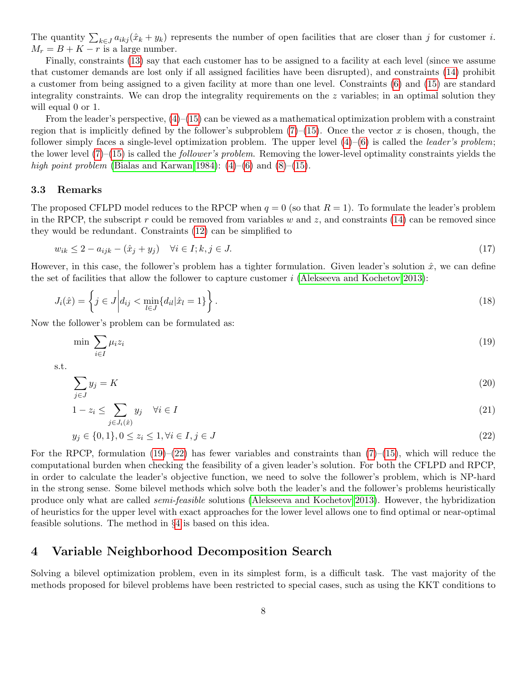The quantity  $\sum_{k\in J} a_{ikj} (\hat{x}_k + y_k)$  represents the number of open facilities that are closer than j for customer i.  $M_r = B + K - r$  is a large number.

Finally, constraints [\(13\)](#page-6-5) say that each customer has to be assigned to a facility at each level (since we assume that customer demands are lost only if all assigned facilities have been disrupted), and constraints [\(14\)](#page-6-6) prohibit a customer from being assigned to a given facility at more than one level. Constraints [\(6\)](#page-6-7) and [\(15\)](#page-6-8) are standard integrality constraints. We can drop the integrality requirements on the  $z$  variables; in an optimal solution they will equal 0 or 1.

From the leader's perspective,  $(4)$ – $(15)$  can be viewed as a mathematical optimization problem with a constraint region that is implicitly defined by the follower's subproblem  $(7)-(15)$  $(7)-(15)$  $(7)-(15)$ . Once the vector x is chosen, though, the follower simply faces a single-level optimization problem. The upper level  $(4)$ – $(6)$  is called the *leader's problem*; the lower level  $(7)$ – $(15)$  is called the *follower's problem*. Removing the lower-level optimality constraints yields the high point problem [\(Bialas and Karwan 1984\)](#page-29-9):  $(4)$ – $(6)$  and  $(8)$ – $(15)$ .

#### 3.3 Remarks

The proposed CFLPD model reduces to the RPCP when  $q = 0$  (so that  $R = 1$ ). To formulate the leader's problem in the RPCP, the subscript r could be removed from variables w and z, and constraints  $(14)$  can be removed since they would be redundant. Constraints [\(12\)](#page-6-4) can be simplified to

$$
w_{ik} \le 2 - a_{ijk} - (\hat{x}_j + y_j) \quad \forall i \in I; k, j \in J. \tag{17}
$$

However, in this case, the follower's problem has a tighter formulation. Given leader's solution  $\hat{x}$ , we can define the set of facilities that allow the follower to capture customer  $i$  [\(Alekseeva and Kochetov 2013\)](#page-29-1):

$$
J_i(\hat{x}) = \left\{ j \in J \middle| d_{ij} < \min_{l \in J} \{ d_{il} | \hat{x}_l = 1 \} \right\}.
$$
\n(18)

Now the follower's problem can be formulated as:

<span id="page-7-1"></span>
$$
\min \sum_{i \in I} \mu_i z_i \tag{19}
$$

s.t.

$$
\sum_{j \in J} y_j = K \tag{20}
$$

$$
1 - z_i \le \sum_{j \in J_i(\hat{x})} y_j \quad \forall i \in I \tag{21}
$$

<span id="page-7-2"></span>
$$
y_j \in \{0, 1\}, 0 \le z_i \le 1, \forall i \in I, j \in J
$$
\n
$$
(22)
$$

For the RPCP, formulation  $(19)-(22)$  $(19)-(22)$  $(19)-(22)$  has fewer variables and constraints than  $(7)-(15)$  $(7)-(15)$  $(7)-(15)$ , which will reduce the computational burden when checking the feasibility of a given leader's solution. For both the CFLPD and RPCP, in order to calculate the leader's objective function, we need to solve the follower's problem, which is NP-hard in the strong sense. Some bilevel methods which solve both the leader's and the follower's problems heuristically produce only what are called semi-feasible solutions [\(Alekseeva and Kochetov 2013\)](#page-29-1). However, the hybridization of heuristics for the upper level with exact approaches for the lower level allows one to find optimal or near-optimal feasible solutions. The method in §[4](#page-7-0) is based on this idea.

## <span id="page-7-0"></span>4 Variable Neighborhood Decomposition Search

Solving a bilevel optimization problem, even in its simplest form, is a difficult task. The vast majority of the methods proposed for bilevel problems have been restricted to special cases, such as using the KKT conditions to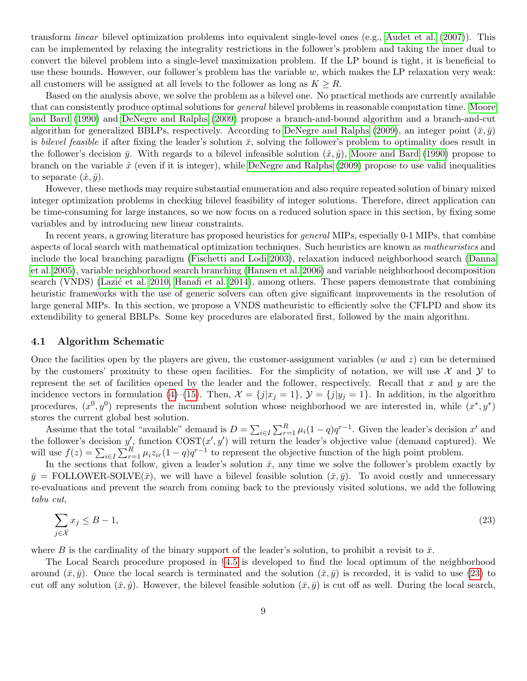transform linear bilevel optimization problems into equivalent single-level ones (e.g., [Audet et al.](#page-29-10) [\(2007\)](#page-29-10)). This can be implemented by relaxing the integrality restrictions in the follower's problem and taking the inner dual to convert the bilevel problem into a single-level maximization problem. If the LP bound is tight, it is beneficial to use these bounds. However, our follower's problem has the variable  $w$ , which makes the LP relaxation very weak: all customers will be assigned at all levels to the follower as long as  $K \geq R$ .

Based on the analysis above, we solve the problem as a bilevel one. No practical methods are currently available that can consistently produce optimal solutions for *general* bilevel problems in reasonable computation time. [Moore](#page-31-15) [and Bard](#page-31-15) [\(1990\)](#page-31-15) and [DeNegre and Ralphs](#page-30-9) [\(2009\)](#page-30-9) propose a branch-and-bound algorithm and a branch-and-cut algorithm for generalized BBLPs, respectively. According to [DeNegre and Ralphs](#page-30-9) [\(2009\)](#page-30-9), an integer point  $(\bar{x}, \bar{y})$ is bilevel feasible if after fixing the leader's solution  $\bar{x}$ , solving the follower's problem to optimality does result in the follower's decision  $\bar{v}$ . With regards to a bilevel infeasible solution  $(\hat{x}, \hat{y})$ . [Moore and Bard](#page-31-15) [\(1990\)](#page-31-15) propose to branch on the variable  $\hat{x}$  (even if it is integer), while [DeNegre and Ralphs](#page-30-9) [\(2009\)](#page-30-9) propose to use valid inequalities to separate  $(\hat{x}, \hat{y})$ .

However, these methods may require substantial enumeration and also require repeated solution of binary mixed integer optimization problems in checking bilevel feasibility of integer solutions. Therefore, direct application can be time-consuming for large instances, so we now focus on a reduced solution space in this section, by fixing some variables and by introducing new linear constraints.

In recent years, a growing literature has proposed heuristics for *general* MIPs, especially 0-1 MIPs, that combine aspects of local search with mathematical optimization techniques. Such heuristics are known as matheuristics and include the local branching paradigm [\(Fischetti and Lodi 2003\)](#page-30-10), relaxation induced neighborhood search [\(Danna](#page-30-11) [et al. 2005\)](#page-30-11), variable neighborhood search branching [\(Hansen et al. 2006\)](#page-30-12) and variable neighborhood decomposition search (VNDS) (Lazić et al. 2010, [Hanafi et al. 2014\)](#page-30-13), among others. These papers demonstrate that combining heuristic frameworks with the use of generic solvers can often give significant improvements in the resolution of large general MIPs. In this section, we propose a VNDS matheuristic to efficiently solve the CFLPD and show its extendibility to general BBLPs. Some key procedures are elaborated first, followed by the main algorithm.

#### <span id="page-8-1"></span>4.1 Algorithm Schematic

Once the facilities open by the players are given, the customer-assignment variables (w and  $z$ ) can be determined by the customers' proximity to these open facilities. For the simplicity of notation, we will use  $\mathcal X$  and  $\mathcal Y$  to represent the set of facilities opened by the leader and the follower, respectively. Recall that x and y are the incidence vectors in formulation [\(4\)](#page-6-9)–[\(15\)](#page-6-8). Then,  $\mathcal{X} = \{j|x_j = 1\}$ ,  $\mathcal{Y} = \{j|y_j = 1\}$ . In addition, in the algorithm procedures,  $(x^0, y^0)$  represents the incumbent solution whose neighborhood we are interested in, while  $(x^*, y^*)$ stores the current global best solution.

Assume that the total "available" demand is  $D = \sum_{i \in I} \sum_{r=1}^{R} \mu_i (1-q) q^{r-1}$ . Given the leader's decision x' and the follower's decision  $y'$ , function  $\text{COST}(x', y')$  will return the leader's objective value (demand captured). We will use  $f(z) = \sum_{i \in I} \sum_{r=1}^{R} \mu_i z_{ir} (1-q) q^{r-1}$  to represent the objective function of the high point problem.

In the sections that follow, given a leader's solution  $\bar{x}$ , any time we solve the follower's problem exactly by  $\bar{y}$  = FOLLOWER-SOLVE( $\bar{x}$ ), we will have a bilevel feasible solution ( $\bar{x}, \bar{y}$ ). To avoid costly and unnecessary re-evaluations and prevent the search from coming back to the previously visited solutions, we add the following tabu cut,

<span id="page-8-0"></span>
$$
\sum_{j \in \bar{\mathcal{X}}} x_j \le B - 1,\tag{23}
$$

where B is the cardinality of the binary support of the leader's solution, to prohibit a revisit to  $\bar{x}$ .

The Local Search procedure proposed in §[4.5](#page-12-0) is developed to find the local optimum of the neighborhood around  $(\bar{x}, \bar{y})$ . Once the local search is terminated and the solution  $(\bar{x}, \bar{y})$  is recorded, it is valid to use [\(23\)](#page-8-0) to cut off any solution  $(\bar{x}, \hat{y})$ . However, the bilevel feasible solution  $(\bar{x}, \bar{y})$  is cut off as well. During the local search,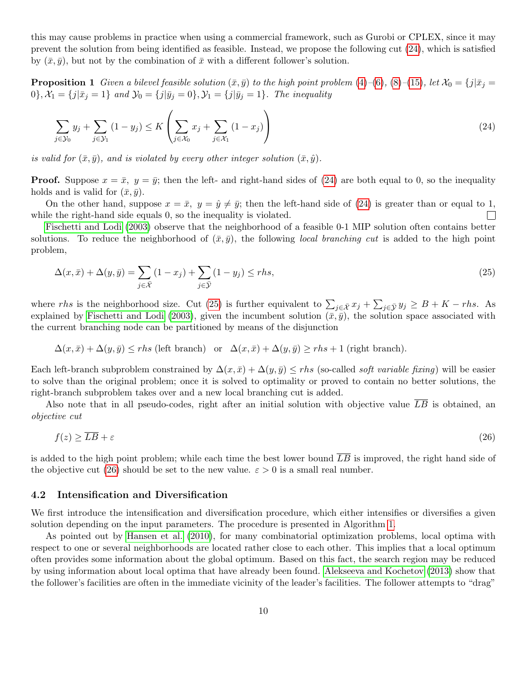this may cause problems in practice when using a commercial framework, such as Gurobi or CPLEX, since it may prevent the solution from being identified as feasible. Instead, we propose the following cut [\(24\)](#page-9-0), which is satisfied by  $(\bar{x}, \bar{y})$ , but not by the combination of  $\bar{x}$  with a different follower's solution.

**Proposition 1** Given a bilevel feasible solution  $(\bar{x}, \bar{y})$  to the high point problem [\(4\)](#page-6-9)–[\(6\)](#page-6-7), [\(8\)](#page-6-11)–[\(15\)](#page-6-8), let  $\mathcal{X}_0 = \{j | \bar{x}_j = j\}$  $0\}, \mathcal{X}_1 = \{j|\bar{x}_j = 1\}$  and  $\mathcal{Y}_0 = \{j|\bar{y}_j = 0\}, \mathcal{Y}_1 = \{j|\bar{y}_j = 1\}.$  The inequality

<span id="page-9-0"></span>
$$
\sum_{j \in \mathcal{Y}_0} y_j + \sum_{j \in \mathcal{Y}_1} (1 - y_j) \le K \left( \sum_{j \in \mathcal{X}_0} x_j + \sum_{j \in \mathcal{X}_1} (1 - x_j) \right) \tag{24}
$$

is valid for  $(\bar{x}, \bar{y})$ , and is violated by every other integer solution  $(\bar{x}, \hat{y})$ .

**Proof.** Suppose  $x = \bar{x}$ ,  $y = \bar{y}$ ; then the left- and right-hand sides of [\(24\)](#page-9-0) are both equal to 0, so the inequality holds and is valid for  $(\bar{x}, \bar{y})$ .

On the other hand, suppose  $x = \bar{x}$ ,  $y = \hat{y} \neq \bar{y}$ ; then the left-hand side of [\(24\)](#page-9-0) is greater than or equal to 1, while the right-hand side equals 0, so the inequality is violated.  $\mathbf{L}$ 

[Fischetti and Lodi](#page-30-10) [\(2003\)](#page-30-10) observe that the neighborhood of a feasible 0-1 MIP solution often contains better solutions. To reduce the neighborhood of  $(\bar{x}, \bar{y})$ , the following local branching cut is added to the high point problem,

<span id="page-9-1"></span>
$$
\Delta(x,\bar{x}) + \Delta(y,\bar{y}) = \sum_{j \in \bar{\mathcal{X}}} (1 - x_j) + \sum_{j \in \bar{\mathcal{Y}}} (1 - y_j) \leq r \, h \tag{25}
$$

where rhs is the neighborhood size. Cut [\(25\)](#page-9-1) is further equivalent to  $\sum_{j\in \bar{\mathcal{X}}} x_j + \sum_{j\in \bar{\mathcal{Y}}} y_j \geq B + K - rhs$ . As explained by [Fischetti and Lodi](#page-30-10) [\(2003\)](#page-30-10), given the incumbent solution  $(\bar{x}, \bar{y})$ , the solution space associated with the current branching node can be partitioned by means of the disjunction

$$
\Delta(x,\bar{x}) + \Delta(y,\bar{y}) \leq r \text{hs} \text{ (left branch) or } \Delta(x,\bar{x}) + \Delta(y,\bar{y}) \geq r \text{hs} + 1 \text{ (right branch)}.
$$

Each left-branch subproblem constrained by  $\Delta(x,\bar{x}) + \Delta(y,\bar{y}) \leq r \hbar s$  (so-called soft variable fixing) will be easier to solve than the original problem; once it is solved to optimality or proved to contain no better solutions, the right-branch subproblem takes over and a new local branching cut is added.

Also note that in all pseudo-codes, right after an initial solution with objective value  $\overline{LB}$  is obtained, an objective cut

<span id="page-9-2"></span>
$$
f(z) \ge \overline{LB} + \varepsilon \tag{26}
$$

is added to the high point problem; while each time the best lower bound  $\overline{LB}$  is improved, the right hand side of the objective cut [\(26\)](#page-9-2) should be set to the new value.  $\varepsilon > 0$  is a small real number.

#### 4.2 Intensification and Diversification

We first introduce the intensification and diversification procedure, which either intensifies or diversifies a given solution depending on the input parameters. The procedure is presented in Algorithm [1.](#page-10-0)

As pointed out by [Hansen et al.](#page-30-14) [\(2010\)](#page-30-14), for many combinatorial optimization problems, local optima with respect to one or several neighborhoods are located rather close to each other. This implies that a local optimum often provides some information about the global optimum. Based on this fact, the search region may be reduced by using information about local optima that have already been found. [Alekseeva and Kochetov](#page-29-1) [\(2013\)](#page-29-1) show that the follower's facilities are often in the immediate vicinity of the leader's facilities. The follower attempts to "drag"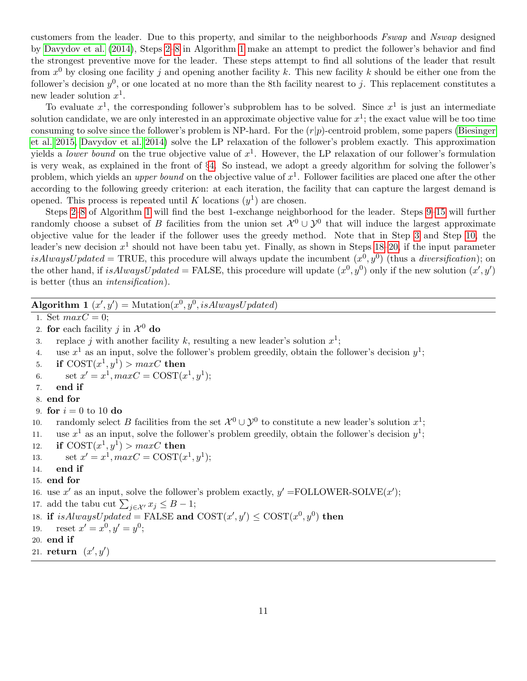customers from the leader. Due to this property, and similar to the neighborhoods Fswap and Nswap designed by [Davydov et al.](#page-30-6) [\(2014\)](#page-30-6), Steps [2–](#page-10-1)[8](#page-10-2) in Algorithm [1](#page-10-0) make an attempt to predict the follower's behavior and find the strongest preventive move for the leader. These steps attempt to find all solutions of the leader that result from  $x^0$  by closing one facility j and opening another facility k. This new facility k should be either one from the follower's decision  $y^0$ , or one located at no more than the 8th facility nearest to j. This replacement constitutes a new leader solution  $x^1$ .

To evaluate  $x^1$ , the corresponding follower's subproblem has to be solved. Since  $x^1$  is just an intermediate solution candidate, we are only interested in an approximate objective value for  $x^1$ ; the exact value will be too time consuming to solve since the follower's problem is NP-hard. For the  $(r|p)$ -centroid problem, some papers [\(Biesinger](#page-29-3) [et al. 2015,](#page-29-3) [Davydov et al. 2014\)](#page-30-6) solve the LP relaxation of the follower's problem exactly. This approximation yields a *lower bound* on the true objective value of  $x^1$ . However, the LP relaxation of our follower's formulation is very weak, as explained in the front of §[4.](#page-7-0) So instead, we adopt a greedy algorithm for solving the follower's problem, which yields an *upper bound* on the objective value of  $x^1$ . Follower facilities are placed one after the other according to the following greedy criterion: at each iteration, the facility that can capture the largest demand is opened. This process is repeated until K locations  $(y<sup>1</sup>)$  are chosen.

Steps [2–](#page-10-1)[8](#page-10-2) of Algorithm [1](#page-10-0) will find the best 1-exchange neighborhood for the leader. Steps [9–](#page-10-3)[15](#page-10-4) will further randomly choose a subset of B facilities from the union set  $\mathcal{X}^0 \cup \mathcal{Y}^0$  that will induce the largest approximate objective value for the leader if the follower uses the greedy method. Note that in Step [3](#page-10-5) and Step [10,](#page-10-6) the leader's new decision  $x^1$  should not have been tabu yet. Finally, as shown in Steps [18–](#page-10-7)[20,](#page-10-8) if the input parameter isAlwaysUpdated = TRUE, this procedure will always update the incumbent  $(x^0, y^0)$  (thus a diversification); on the other hand, if  $isAlwaysUpdate = FALSE$ , this procedure will update  $(x^0, y^0)$  only if the new solution  $(x', y')$ is better (thus an intensification).

<span id="page-10-0"></span>Algorithm 1  $(x', y') =$  Mutation $(x^0, y^0, isAlwaysUpdate)$ 

<span id="page-10-1"></span>1. Set  $maxC = 0$ ;

- 2. for each facility j in  $\mathcal{X}^0$  do
- <span id="page-10-5"></span>3. replace j with another facility k, resulting a new leader's solution  $x^1$ ;
- 4. use  $x^1$  as an input, solve the follower's problem greedily, obtain the follower's decision  $y^1$ ;
- 5. if  $\text{COST}(x^1, y^1) > maxC$  then

6. set 
$$
x' = x^1, maxC = COST(x^1, y^1);
$$

- 7. end if
- <span id="page-10-3"></span><span id="page-10-2"></span>8. end for
- 9. **for**  $i = 0$  to 10 **do**
- <span id="page-10-6"></span>10. randomly select B facilities from the set  $\mathcal{X}^0 \cup \mathcal{Y}^0$  to constitute a new leader's solution  $x^1$ ;
- 11. use  $x^1$  as an input, solve the follower's problem greedily, obtain the follower's decision  $y^1$ ;
- 12. if  $\text{COST}(x^1, y^1) > maxC$  then
- 13. set  $x' = x^1, maxC = COST(x^1, y^1);$
- 14. end if
- <span id="page-10-4"></span>15. end for
- <span id="page-10-7"></span>16. use x' as an input, solve the follower's problem exactly,  $y' = \text{FOLLOWER-SOLVE}(x');$
- 17. add the tabu cut  $\sum_{j \in \mathcal{X}'} x_j \leq B 1$ ;
- 18. if  $isAlwaysUpdate = \text{FALSE}$  and  $\text{COST}(x', y') \leq \text{COST}(x^0, y^0)$  then
- 19. reset  $x' = x^0, y' = y^0;$
- <span id="page-10-8"></span>20. end if
- 21. return  $(x', y')$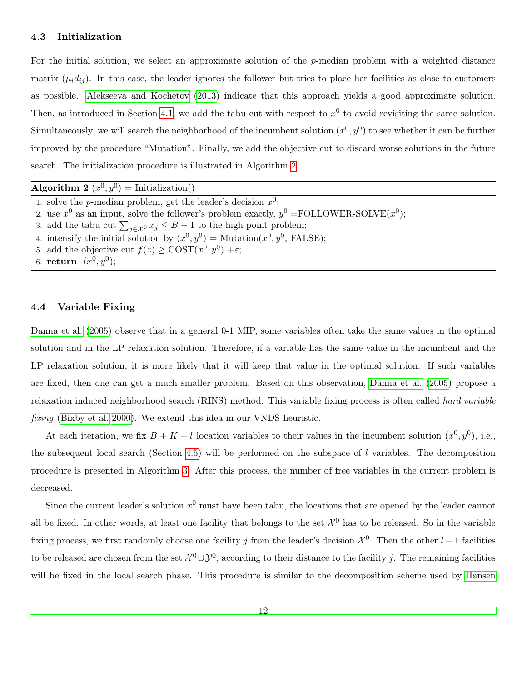#### 4.3 Initialization

For the initial solution, we select an approximate solution of the  $p$ -median problem with a weighted distance matrix  $(\mu_i d_{ii})$ . In this case, the leader ignores the follower but tries to place her facilities as close to customers as possible. [Alekseeva and Kochetov](#page-29-1) [\(2013\)](#page-29-1) indicate that this approach yields a good approximate solution. Then, as introduced in Section [4.1,](#page-8-1) we add the tabu cut with respect to  $x^0$  to avoid revisiting the same solution. Simultaneously, we will search the neighborhood of the incumbent solution  $(x^0, y^0)$  to see whether it can be further improved by the procedure "Mutation". Finally, we add the objective cut to discard worse solutions in the future search. The initialization procedure is illustrated in Algorithm [2.](#page-11-0)

<span id="page-11-0"></span>Algorithm 2  $(x^0, y^0)$  = Initialization()

- 1. solve the p-median problem, get the leader's decision  $x^0$ ;
- 2. use  $x^0$  as an input, solve the follower's problem exactly,  $y^0 = \text{FOLLOWER-SOLVE}(x^0)$ ;
- <span id="page-11-2"></span>3. add the tabu cut  $\sum_{j \in \mathcal{X}^0} x_j \leq B - 1$  to the high point problem;
- 4. intensify the initial solution by  $(x^0, y^0) =$  Mutation $(x^0, y^0,$  FALSE);
- 5. add the objective cut  $f(z) \geq \text{COST}(x^0, y^0) + \varepsilon$ ;
- 6. return  $(x^0, y^0);$

#### <span id="page-11-1"></span>4.4 Variable Fixing

[Danna et al.](#page-30-11) [\(2005\)](#page-30-11) observe that in a general 0-1 MIP, some variables often take the same values in the optimal solution and in the LP relaxation solution. Therefore, if a variable has the same value in the incumbent and the LP relaxation solution, it is more likely that it will keep that value in the optimal solution. If such variables are fixed, then one can get a much smaller problem. Based on this observation, [Danna et al.](#page-30-11) [\(2005\)](#page-30-11) propose a relaxation induced neighborhood search (RINS) method. This variable fixing process is often called hard variable fixing [\(Bixby et al. 2000\)](#page-29-11). We extend this idea in our VNDS heuristic.

At each iteration, we fix  $B + K - l$  location variables to their values in the incumbent solution  $(x^0, y^0)$ , i.e., the subsequent local search (Section [4.5\)](#page-12-0) will be performed on the subspace of l variables. The decomposition procedure is presented in Algorithm [3.](#page-12-1) After this process, the number of free variables in the current problem is decreased.

Since the current leader's solution  $x^0$  must have been tabu, the locations that are opened by the leader cannot all be fixed. In other words, at least one facility that belongs to the set  $\mathcal{X}^0$  has to be released. So in the variable fixing process, we first randomly choose one facility j from the leader's decision  $\mathcal{X}^0$ . Then the other  $l-1$  facilities to be released are chosen from the set  $\mathcal{X}^0\cup\mathcal{Y}^0$ , according to their distance to the facility j. The remaining facilities will be fixed in the local search phase. This procedure is similar to the decomposition scheme used by [Hansen](#page-30-15)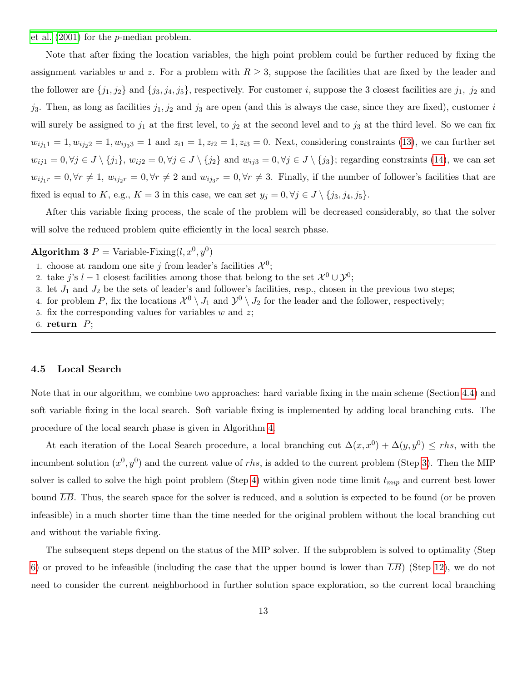[et al.](#page-30-15) [\(2001\)](#page-30-15) for the p-median problem.

Note that after fixing the location variables, the high point problem could be further reduced by fixing the assignment variables w and z. For a problem with  $R \geq 3$ , suppose the facilities that are fixed by the leader and the follower are  $\{j_1, j_2\}$  and  $\{j_3, j_4, j_5\}$ , respectively. For customer i, suppose the 3 closest facilities are  $j_1$ ,  $j_2$  and  $j_3$ . Then, as long as facilities  $j_1, j_2$  and  $j_3$  are open (and this is always the case, since they are fixed), customer i will surely be assigned to  $j_1$  at the first level, to  $j_2$  at the second level and to  $j_3$  at the third level. So we can fix  $w_{ij_11} = 1, w_{ij_22} = 1, w_{ij_33} = 1$  and  $z_{i1} = 1, z_{i2} = 1, z_{i3} = 0$ . Next, considering constraints [\(13\)](#page-6-5), we can further set  $w_{ij1} = 0, \forall j \in J \setminus \{j_1\}, w_{ij2} = 0, \forall j \in J \setminus \{j_2\}$  and  $w_{ij3} = 0, \forall j \in J \setminus \{j_3\}$ ; regarding constraints [\(14\)](#page-6-6), we can set  $w_{ij_1r} = 0, \forall r \neq 1, w_{ij_2r} = 0, \forall r \neq 2$  and  $w_{ij_3r} = 0, \forall r \neq 3$ . Finally, if the number of follower's facilities that are fixed is equal to K, e.g.,  $K = 3$  in this case, we can set  $y_j = 0, \forall j \in J \setminus \{j_3, j_4, j_5\}.$ 

After this variable fixing process, the scale of the problem will be decreased considerably, so that the solver will solve the reduced problem quite efficiently in the local search phase.

## <span id="page-12-1"></span>Algorithm 3  $P = \text{Variable-Fixing}(l, x^0, y^0)$

- 1. choose at random one site j from leader's facilities  $\mathcal{X}^0$ ;
- 2. take j's l 1 closest facilities among those that belong to the set  $\mathcal{X}^0 \cup \mathcal{Y}^0$ ;
- 3. let  $J_1$  and  $J_2$  be the sets of leader's and follower's facilities, resp., chosen in the previous two steps;
- 4. for problem P, fix the locations  $\mathcal{X}^0 \setminus J_1$  and  $\mathcal{Y}^0 \setminus J_2$  for the leader and the follower, respectively;
- 5. fix the corresponding values for variables  $w$  and  $z$ ;
- 6. return  $P$ ;

#### <span id="page-12-0"></span>4.5 Local Search

Note that in our algorithm, we combine two approaches: hard variable fixing in the main scheme (Section [4.4\)](#page-11-1) and soft variable fixing in the local search. Soft variable fixing is implemented by adding local branching cuts. The procedure of the local search phase is given in Algorithm [4.](#page-14-0)

At each iteration of the Local Search procedure, a local branching cut  $\Delta(x, x^0) + \Delta(y, y^0) \leq r \hbar s$ , with the incumbent solution  $(x^0, y^0)$  and the current value of rhs, is added to the current problem (Step [3\)](#page-14-1). Then the MIP solver is called to solve the high point problem (Step [4\)](#page-14-2) within given node time limit  $t_{mip}$  and current best lower bound  $\overline{LB}$ . Thus, the search space for the solver is reduced, and a solution is expected to be found (or be proven infeasible) in a much shorter time than the time needed for the original problem without the local branching cut and without the variable fixing.

The subsequent steps depend on the status of the MIP solver. If the subproblem is solved to optimality (Step [6\)](#page-14-3) or proved to be infeasible (including the case that the upper bound is lower than  $\overline{LB}$ ) (Step [12\)](#page-14-4), we do not need to consider the current neighborhood in further solution space exploration, so the current local branching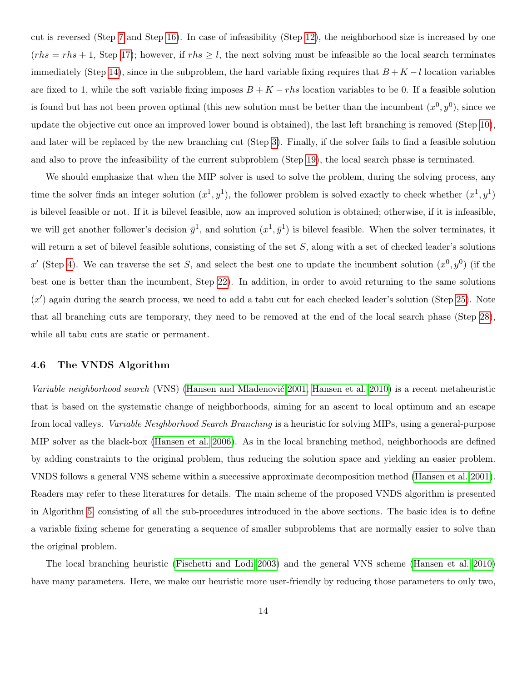cut is reversed (Step [7](#page-14-5) and Step [16\)](#page-14-6). In case of infeasibility (Step [12\)](#page-14-4), the neighborhood size is increased by one  $(rhs = rhs + 1,$  Step [17\)](#page-14-7); however, if  $rhs \geq l$ , the next solving must be infeasible so the local search terminates immediately (Step [14\)](#page-14-8), since in the subproblem, the hard variable fixing requires that  $B + K - l$  location variables are fixed to 1, while the soft variable fixing imposes  $B + K - rhs$  location variables to be 0. If a feasible solution is found but has not been proven optimal (this new solution must be better than the incumbent  $(x^0, y^0)$ , since we update the objective cut once an improved lower bound is obtained), the last left branching is removed (Step [10\)](#page-14-9), and later will be replaced by the new branching cut (Step [3\)](#page-14-1). Finally, if the solver fails to find a feasible solution and also to prove the infeasibility of the current subproblem (Step [19\)](#page-14-10), the local search phase is terminated.

We should emphasize that when the MIP solver is used to solve the problem, during the solving process, any time the solver finds an integer solution  $(x^1, y^1)$ , the follower problem is solved exactly to check whether  $(x^1, y^1)$ is bilevel feasible or not. If it is bilevel feasible, now an improved solution is obtained; otherwise, if it is infeasible, we will get another follower's decision  $\bar{y}^1$ , and solution  $(x^1, \bar{y}^1)$  is bilevel feasible. When the solver terminates, it will return a set of bilevel feasible solutions, consisting of the set  $S$ , along with a set of checked leader's solutions x' (Step [4\)](#page-14-2). We can traverse the set S, and select the best one to update the incumbent solution  $(x^0, y^0)$  (if the best one is better than the incumbent, Step [22\)](#page-14-11). In addition, in order to avoid returning to the same solutions  $(x')$  again during the search process, we need to add a tabu cut for each checked leader's solution (Step [25\)](#page-14-12). Note that all branching cuts are temporary, they need to be removed at the end of the local search phase (Step [28\)](#page-14-13), while all tabu cuts are static or permanent.

#### 4.6 The VNDS Algorithm

Variable neighborhood search (VNS) (Hansen and Mladenovic 2001, [Hansen et al. 2010\)](#page-30-14) is a recent metaheuristic that is based on the systematic change of neighborhoods, aiming for an ascent to local optimum and an escape from local valleys. Variable Neighborhood Search Branching is a heuristic for solving MIPs, using a general-purpose MIP solver as the black-box [\(Hansen et al. 2006\)](#page-30-12). As in the local branching method, neighborhoods are defined by adding constraints to the original problem, thus reducing the solution space and yielding an easier problem. VNDS follows a general VNS scheme within a successive approximate decomposition method [\(Hansen et al. 2001\)](#page-30-15). Readers may refer to these literatures for details. The main scheme of the proposed VNDS algorithm is presented in Algorithm [5,](#page-15-0) consisting of all the sub-procedures introduced in the above sections. The basic idea is to define a variable fixing scheme for generating a sequence of smaller subproblems that are normally easier to solve than the original problem.

The local branching heuristic [\(Fischetti and Lodi 2003\)](#page-30-10) and the general VNS scheme [\(Hansen et al. 2010\)](#page-30-14) have many parameters. Here, we make our heuristic more user-friendly by reducing those parameters to only two,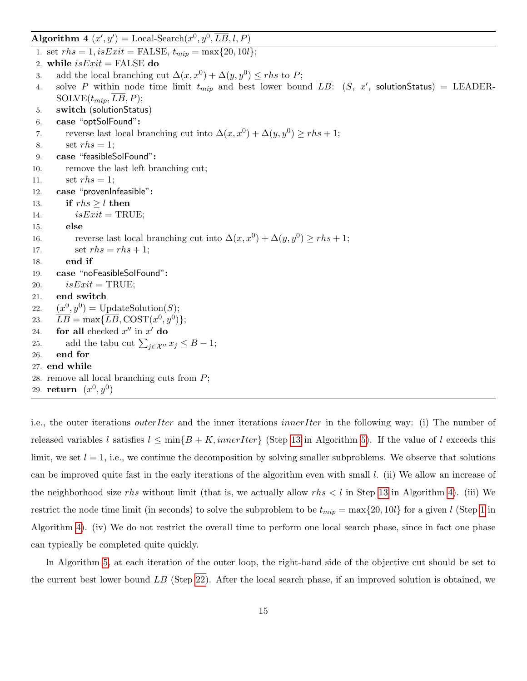<span id="page-14-0"></span>Algorithm  $4(x', y') =$ Local-Search $(x^0, y^0, \overline{LB}, l, P)$ 

<span id="page-14-15"></span>1. set  $rhs = 1, isExit = FALSE, t_{min} = max\{20, 10l\};$ 

- <span id="page-14-2"></span>2. while  $isExit = FALSE$  do
- <span id="page-14-1"></span>3. add the local branching cut  $\Delta(x, x^0) + \Delta(y, y^0) \leq r \ln s$  to P;
- 4. solve P within node time limit  $t_{mip}$  and best lower bound  $\overline{LB}$ :  $(S, x',$  solutionStatus) = LEADER-SOLVE $(t_{mip},\overline{LB},P);$
- <span id="page-14-3"></span>5. switch (solutionStatus)
- 6. case "optSolFound":
- <span id="page-14-5"></span>7. reverse last local branching cut into  $\Delta(x, x^0) + \Delta(y, y^0) \ge r h s + 1$ ;
- 8. set  $rhs = 1$ ;
- 9. case "feasibleSolFound":
- <span id="page-14-9"></span>10. remove the last left branching cut;
- 11. set  $rhs = 1$ ;
- <span id="page-14-4"></span>12. case "provenInfeasible":
- <span id="page-14-14"></span>13. if  $rhs \geq l$  then
- <span id="page-14-8"></span>14.  $i sExit = TRUE;$
- 15. else
- <span id="page-14-7"></span><span id="page-14-6"></span>16. reverse last local branching cut into  $\Delta(x, x^0) + \Delta(y, y^0) \ge r h s + 1$ ;
- 17. set  $rhs = rhs + 1$ ;
- 18. end if
- <span id="page-14-10"></span>19. case "noFeasibleSolFound":
- 20.  $isExit = \text{TRUE};$
- <span id="page-14-11"></span>21. end switch
- $22.$  $(0, y^0) = \text{UpdateSolution}(S);$
- 23.  $\overline{LB} = \max{\{\overline{LB}, \text{COST}(x^0, y^0)\}};$
- 24. **for all** checked  $x''$  in  $x'$  do
- <span id="page-14-12"></span>25. add the tabu cut  $\sum_{j \in \mathcal{X}''} x_j \leq B - 1$ ;
- 26. end for
- <span id="page-14-13"></span>27. end while
- 28. remove all local branching cuts from  $P$ ;
- 29. return  $(x^0, y^0)$

i.e., the outer iterations *outerIter* and the inner iterations *innerIter* in the following way: (i) The number of released variables l satisfies  $l \le \min\{B + K, innerIter\}$  (Step [13](#page-15-1) in Algorithm [5\)](#page-15-0). If the value of l exceeds this limit, we set  $l = 1$ , i.e., we continue the decomposition by solving smaller subproblems. We observe that solutions can be improved quite fast in the early iterations of the algorithm even with small l. (ii) We allow an increase of the neighborhood size rhs without limit (that is, we actually allow rhs  $\lt l$  in Step [13](#page-14-14) in Algorithm [4\)](#page-14-0). (iii) We restrict the node time limit (in seconds) to solve the subproblem to be  $t_{mip} = \max\{20, 10l\}$  $t_{mip} = \max\{20, 10l\}$  $t_{mip} = \max\{20, 10l\}$  for a given l (Step 1 in Algorithm [4\)](#page-14-0). (iv) We do not restrict the overall time to perform one local search phase, since in fact one phase can typically be completed quite quickly.

In Algorithm [5,](#page-15-0) at each iteration of the outer loop, the right-hand side of the objective cut should be set to the current best lower bound LB (Step [22\)](#page-15-2). After the local search phase, if an improved solution is obtained, we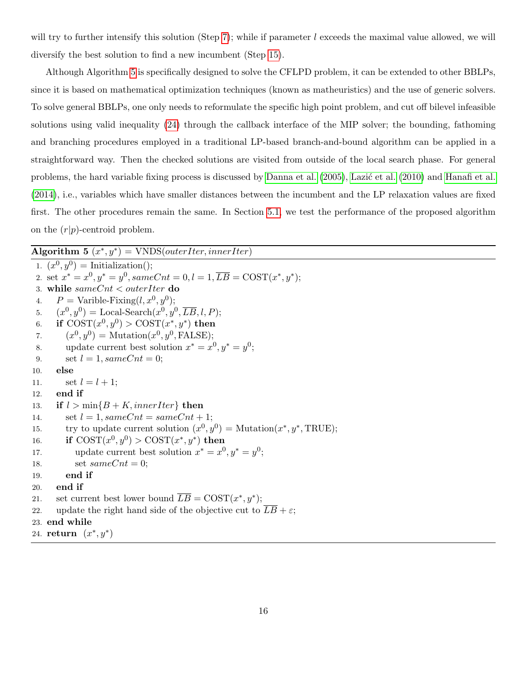will try to further intensify this solution (Step [7\)](#page-15-3); while if parameter  $l$  exceeds the maximal value allowed, we will diversify the best solution to find a new incumbent (Step [15\)](#page-15-4).

Although Algorithm [5](#page-15-0) is specifically designed to solve the CFLPD problem, it can be extended to other BBLPs, since it is based on mathematical optimization techniques (known as matheuristics) and the use of generic solvers. To solve general BBLPs, one only needs to reformulate the specific high point problem, and cut off bilevel infeasible solutions using valid inequality [\(24\)](#page-9-0) through the callback interface of the MIP solver; the bounding, fathoming and branching procedures employed in a traditional LP-based branch-and-bound algorithm can be applied in a straightforward way. Then the checked solutions are visited from outside of the local search phase. For general problems, the hard variable fixing process is discussed by [Danna et al.](#page-30-11) [\(2005\)](#page-30-11), Lazić et al. [\(2010\)](#page-31-16) and [Hanafi et al.](#page-30-13) [\(2014\)](#page-30-13), i.e., variables which have smaller distances between the incumbent and the LP relaxation values are fixed first. The other procedures remain the same. In Section [5.1,](#page-16-1) we test the performance of the proposed algorithm on the  $(r|p)$ -centroid problem.

## <span id="page-15-0"></span>Algorithm 5  $(x^*, y^*)$  = VNDS(*outerIter*, *innerIter*)

<span id="page-15-4"></span><span id="page-15-3"></span><span id="page-15-2"></span><span id="page-15-1"></span>1.  $(x^0, y^0)$  = Initialization(); 2. set  $x^* = x^0, y^* = y^0, sameCnt = 0, l = 1, \overline{LB} = \text{COST}(x^*, y^*);$ 3. while sameCnt < outerIter do 4.  $P = \text{Variable-Fixing}(l, x^0, y^0);$ 5.  $(x^0, y^0) = \text{Local-Search}(x^0, y^0, \overline{LB}, l, P);$ 6. if  $\text{COST}(x^0, y^0) > \text{COST}(x^*, y^*)$  then 7.  $(x^0, y^0) = \text{Mutation}(x^0, y^0, \text{FALSE});$ 8. update current best solution  $x^* = x^0, y^* = y^0;$ 9. set  $l = 1$ , sameCnt = 0; 10. else 11. set  $l = l + 1$ ; 12. end if 13. if  $l > min\{B + K, innerIter\}$  then 14. set  $l = 1$ , sameCnt = sameCnt + 1; 15. try to update current solution  $(x^0, y^0) = \text{Mutation}(x^*, y^*, \text{TRUE});$ 16. if  $\text{COST}(x^0, y^0) > \text{COST}(x^*, y^*)$  then 17. update current best solution  $x^* = x^0, y^* = y^0;$ 18. set  $sameCnt = 0$ ; 19. end if 20. end if 21. set current best lower bound  $\overline{LB} = \text{COST}(x^*, y^*)$ ; 22. update the right hand side of the objective cut to  $\overline{LB} + \varepsilon$ ; 23. end while 24. return  $(x^*, y^*)$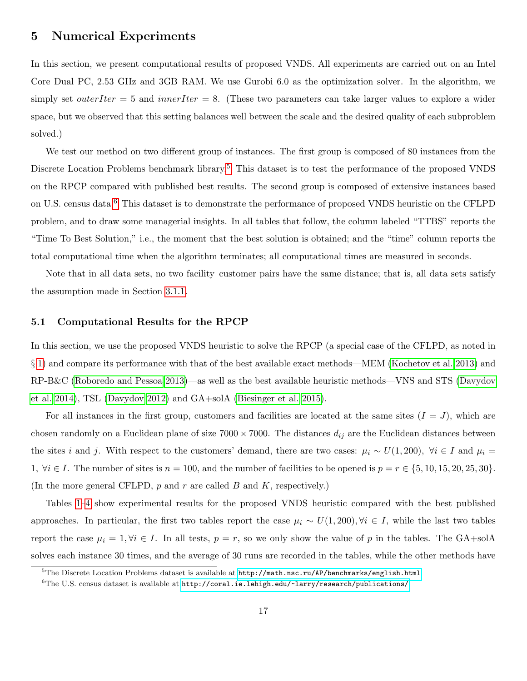## <span id="page-16-0"></span>5 Numerical Experiments

In this section, we present computational results of proposed VNDS. All experiments are carried out on an Intel Core Dual PC, 2.53 GHz and 3GB RAM. We use Gurobi 6.0 as the optimization solver. In the algorithm, we simply set *outerIter* = 5 and *innerIter* = 8. (These two parameters can take larger values to explore a wider space, but we observed that this setting balances well between the scale and the desired quality of each subproblem solved.)

We test our method on two different group of instances. The first group is composed of 80 instances from the Discrete Location Problems benchmark library.<sup>[5](#page-16-2)</sup> This dataset is to test the performance of the proposed VNDS on the RPCP compared with published best results. The second group is composed of extensive instances based on U.S. census data.[6](#page-16-3) This dataset is to demonstrate the performance of proposed VNDS heuristic on the CFLPD problem, and to draw some managerial insights. In all tables that follow, the column labeled "TTBS" reports the "Time To Best Solution," i.e., the moment that the best solution is obtained; and the "time" column reports the total computational time when the algorithm terminates; all computational times are measured in seconds.

Note that in all data sets, no two facility–customer pairs have the same distance; that is, all data sets satisfy the assumption made in Section [3.1.1.](#page-4-1)

#### <span id="page-16-1"></span>5.1 Computational Results for the RPCP

In this section, we use the proposed VNDS heuristic to solve the RPCP (a special case of the CFLPD, as noted in § [1\)](#page-1-0) and compare its performance with that of the best available exact methods—MEM [\(Kochetov et al. 2013\)](#page-30-17) and RP-B&C [\(Roboredo and Pessoa 2013\)](#page-31-7)—as well as the best available heuristic methods—VNS and STS [\(Davydov](#page-30-6) [et al. 2014\)](#page-30-6), TSL [\(Davydov 2012\)](#page-30-5) and GA+solA [\(Biesinger et al. 2015\)](#page-29-3).

For all instances in the first group, customers and facilities are located at the same sites  $(I = J)$ , which are chosen randomly on a Euclidean plane of size  $7000 \times 7000$ . The distances  $d_{ij}$  are the Euclidean distances between the sites i and j. With respect to the customers' demand, there are two cases:  $\mu_i \sim U(1, 200)$ ,  $\forall i \in I$  and  $\mu_i =$ 1,  $\forall i \in I$ . The number of sites is  $n = 100$ , and the number of facilities to be opened is  $p = r \in \{5, 10, 15, 20, 25, 30\}$ . (In the more general CFLPD,  $p$  and  $r$  are called  $B$  and  $K$ , respectively.)

Tables [1–](#page-17-0)[4](#page-18-0) show experimental results for the proposed VNDS heuristic compared with the best published approaches. In particular, the first two tables report the case  $\mu_i \sim U(1, 200)$ ,  $\forall i \in I$ , while the last two tables report the case  $\mu_i = 1, \forall i \in I$ . In all tests,  $p = r$ , so we only show the value of p in the tables. The GA+solA solves each instance 30 times, and the average of 30 runs are recorded in the tables, while the other methods have

<span id="page-16-3"></span><span id="page-16-2"></span> $5$ The Discrete Location Problems dataset is available at  $http://math.nsc.ru/AP/benchmarks/english.html$ .

<sup>6</sup>The U.S. census dataset is available at <http://coral.ie.lehigh.edu/~larry/research/publications/>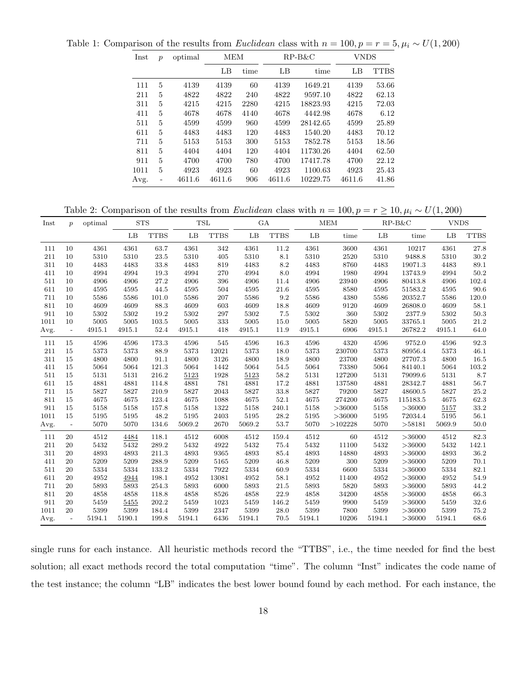Table 1: Comparison of the results from *Euclidean* class with  $n = 100, p = r = 5, \mu_i \sim U(1, 200)$ 

<span id="page-17-0"></span>

| Inst | $\boldsymbol{p}$ | optimal | MEM    |      |        | $RP-B\&C$ | VNDS   |             |  |
|------|------------------|---------|--------|------|--------|-----------|--------|-------------|--|
|      |                  |         | LB     | time | LB     | time      | LB     | <b>TTBS</b> |  |
| 111  | 5                | 4139    | 4139   | 60   | 4139   | 1649.21   | 4139   | 53.66       |  |
| 211  | 5                | 4822    | 4822   | 240  | 4822   | 9597.10   | 4822   | 62.13       |  |
| 311  | 5                | 4215    | 4215   | 2280 | 4215   | 18823.93  | 4215   | 72.03       |  |
| 411  | 5                | 4678    | 4678   | 4140 | 4678   | 4442.98   | 4678   | 6.12        |  |
| 511  | 5                | 4599    | 4599   | 960  | 4599   | 28142.65  | 4599   | 25.89       |  |
| 611  | 5                | 4483    | 4483   | 120  | 4483   | 1540.20   | 4483   | 70.12       |  |
| 711  | 5                | 5153    | 5153   | 300  | 5153   | 7852.78   | 5153   | 18.56       |  |
| 811  | 5                | 4404    | 4404   | 120  | 4404   | 11730.26  | 4404   | 62.50       |  |
| 911  | 5                | 4700    | 4700   | 780  | 4700   | 17417.78  | 4700   | 22.12       |  |
| 1011 | 5                | 4923    | 4923   | 60   | 4923   | 1100.63   | 4923   | 25.43       |  |
| Avg. |                  | 4611.6  | 4611.6 | 906  | 4611.6 | 10229.75  | 4611.6 | 41.86       |  |

Table 2: Comparison of the results from Euclidean class with  $n = 100, p = r \ge 10, \mu_i \sim U(1, 200)$ 

| Inst | $\boldsymbol{p}$         | optimal | <b>STS</b> |             | <b>TSL</b> |             |        | GA          |        | <b>MEM</b> |        | RP-B&C   | <b>VNDS</b> |             |
|------|--------------------------|---------|------------|-------------|------------|-------------|--------|-------------|--------|------------|--------|----------|-------------|-------------|
|      |                          |         | LB         | <b>TTBS</b> | LB         | <b>TTBS</b> | LB     | <b>TTBS</b> | LB     | time       | LB     | time     | LB          | <b>TTBS</b> |
| 111  | 10                       | 4361    | 4361       | 63.7        | 4361       | 342         | 4361   | 11.2        | 4361   | 3600       | 4361   | 10217    | 4361        | 27.8        |
| 211  | 10                       | 5310    | 5310       | $23.5\,$    | 5310       | 405         | 5310   | 8.1         | 5310   | 2520       | 5310   | 9488.8   | 5310        | 30.2        |
| 311  | 10                       | 4483    | 4483       | 33.8        | 4483       | 819         | 4483   | 8.2         | 4483   | 8760       | 4483   | 19071.3  | 4483        | 89.1        |
| 411  | 10                       | 4994    | 4994       | 19.3        | 4994       | $270\,$     | 4994   | 8.0         | 4994   | 1980       | 4994   | 13743.9  | 4994        | 50.2        |
| 511  | 10                       | 4906    | 4906       | 27.2        | 4906       | 396         | 4906   | 11.4        | 4906   | 23940      | 4906   | 80413.8  | 4906        | 102.4       |
| 611  | 10                       | 4595    | 4595       | 44.5        | 4595       | 504         | 4595   | 21.6        | 4595   | 8580       | 4595   | 51583.2  | 4595        | 90.6        |
| 711  | 10                       | 5586    | 5586       | 101.0       | 5586       | 207         | 5586   | 9.2         | 5586   | 4380       | 5586   | 20352.7  | 5586        | 120.0       |
| 811  | 10                       | 4609    | 4609       | 88.3        | 4609       | 603         | 4609   | 18.8        | 4609   | 9120       | 4609   | 26808.0  | 4609        | 58.1        |
| 911  | 10                       | 5302    | 5302       | 19.2        | 5302       | 297         | 5302   | 7.5         | 5302   | 360        | 5302   | 2377.9   | 5302        | 50.3        |
| 1011 | 10                       | 5005    | 5005       | 103.5       | 5005       | 333         | 5005   | 15.0        | 5005   | 5820       | 5005   | 33765.1  | 5005        | 21.2        |
| Avg. | $\overline{\phantom{a}}$ | 4915.1  | 4915.1     | 52.4        | 4915.1     | 418         | 4915.1 | 11.9        | 4915.1 | 6906       | 4915.1 | 26782.2  | 4915.1      | 64.0        |
| 111  | 15                       | 4596    | 4596       | 173.3       | 4596       | 545         | 4596   | 16.3        | 4596   | 4320       | 4596   | 9752.0   | 4596        | 92.3        |
| 211  | 15                       | 5373    | 5373       | 88.9        | 5373       | 12021       | 5373   | 18.0        | 5373   | 230700     | 5373   | 80956.4  | 5373        | 46.1        |
| 311  | 15                       | 4800    | 4800       | 91.1        | 4800       | 3126        | 4800   | 18.9        | 4800   | 23700      | 4800   | 27707.3  | 4800        | 16.5        |
| 411  | 15                       | 5064    | 5064       | 121.3       | 5064       | 1442        | 5064   | 54.5        | 5064   | 73380      | 5064   | 84140.1  | 5064        | 103.2       |
| 511  | 15                       | 5131    | 5131       | 216.2       | 5123       | 1928        | 5123   | 58.2        | 5131   | 127200     | 5131   | 79099.6  | 5131        | 8.7         |
| 611  | 15                       | 4881    | 4881       | 114.8       | 4881       | 781         | 4881   | 17.2        | 4881   | 137580     | 4881   | 28342.7  | 4881        | 56.7        |
| 711  | 15                       | 5827    | 5827       | 210.9       | 5827       | 2043        | 5827   | 33.8        | 5827   | 79200      | 5827   | 48600.5  | 5827        | 25.2        |
| 811  | 15                       | 4675    | 4675       | 123.4       | 4675       | 1088        | 4675   | 52.1        | 4675   | 274200     | 4675   | 115183.5 | 4675        | 62.3        |
| 911  | 15                       | 5158    | 5158       | 157.8       | 5158       | 1322        | 5158   | 240.1       | 5158   | >36000     | 5158   | >36000   | 5157        | 33.2        |
| 1011 | 15                       | 5195    | 5195       | 48.2        | 5195       | 2403        | 5195   | 28.2        | 5195   | >36000     | 5195   | 72034.4  | 5195        | 56.1        |
| Avg. | $\overline{\phantom{a}}$ | 5070    | 5070       | 134.6       | 5069.2     | 2670        | 5069.2 | 53.7        | 5070   | >102228    | 5070   | >58181   | 5069.9      | 50.0        |
| 111  | 20                       | 4512    | 4484       | 118.1       | 4512       | 6008        | 4512   | 159.4       | 4512   | 60         | 4512   | >36000   | 4512        | 82.3        |
| 211  | 20                       | 5432    | 5432       | 289.2       | 5432       | 4922        | 5432   | 75.4        | 5432   | 11100      | 5432   | >36000   | 5432        | 142.1       |
| 311  | 20                       | 4893    | 4893       | 211.3       | 4893       | 9365        | 4893   | 85.4        | 4893   | 14880      | 4893   | >36000   | 4893        | 36.2        |
| 411  | 20                       | 5209    | 5209       | 288.9       | 5209       | 5165        | 5209   | 46.8        | 5209   | 300        | 5209   | >36000   | 5209        | 70.1        |
| 511  | 20                       | 5334    | 5334       | 133.2       | 5334       | 7922        | 5334   | 60.9        | 5334   | 6600       | 5334   | >36000   | 5334        | 82.1        |
| 611  | 20                       | 4952    | 4944       | 198.1       | 4952       | 13081       | 4952   | 58.1        | 4952   | 11400      | 4952   | >36000   | 4952        | 54.9        |
| 711  | 20                       | 5893    | 5893       | 254.3       | 5893       | 6000        | 5893   | 21.5        | 5893   | 5820       | 5893   | >36000   | 5893        | 44.2        |
| 811  | 20                       | 4858    | 4858       | 118.8       | 4858       | 8526        | 4858   | 22.9        | 4858   | 34200      | 4858   | >36000   | 4858        | 66.3        |
| 911  | 20                       | 5459    | 5455       | 202.2       | 5459       | 1023        | 5459   | 146.2       | 5459   | 9900       | 5459   | >36000   | 5459        | 32.6        |
| 1011 | 20                       | 5399    | 5399       | 184.4       | 5399       | 2347        | 5399   | 28.0        | 5399   | 7800       | 5399   | >36000   | 5399        | 75.2        |
| Avg. | $\overline{\phantom{a}}$ | 5194.1  | 5190.1     | 199.8       | 5194.1     | 6436        | 5194.1 | 70.5        | 5194.1 | 10206      | 5194.1 | >36000   | 5194.1      | 68.6        |

single runs for each instance. All heuristic methods record the "TTBS", i.e., the time needed for find the best solution; all exact methods record the total computation "time". The column "Inst" indicates the code name of the test instance; the column "LB" indicates the best lower bound found by each method. For each instance, the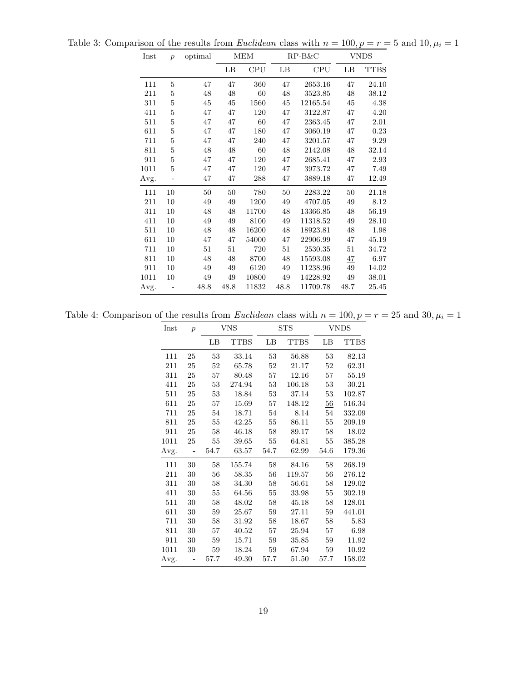Table 3: Comparison of the results from *Euclidean* class with  $n = 100, p = r = 5$  and  $10, \mu_i = 1$ 

| $_{\rm Inst}$ | $\boldsymbol{p}$ | optimal |      | <b>MEM</b> |             | $RP-B&C$ | <b>VNDS</b> |             |  |
|---------------|------------------|---------|------|------------|-------------|----------|-------------|-------------|--|
|               |                  |         | LB   | CPU        | $_{\rm LB}$ | CPU      | $_{\rm LB}$ | <b>TTBS</b> |  |
| 111           | 5                | 47      | 47   | 360        | 47          | 2653.16  | 47          | 24.10       |  |
| 211           | 5                | 48      | 48   | 60         | 48          | 3523.85  | 48          | 38.12       |  |
| 311           | 5                | 45      | 45   | 1560       | 45          | 12165.54 | 45          | 4.38        |  |
| 411           | $\overline{5}$   | 47      | 47   | 120        | 47          | 3122.87  | 47          | 4.20        |  |
| 511           | 5                | 47      | 47   | 60         | 47          | 2363.45  | 47          | 2.01        |  |
| 611           | $\overline{5}$   | 47      | 47   | 180        | 47          | 3060.19  | 47          | 0.23        |  |
| 711           | $\overline{5}$   | 47      | 47   | 240        | 47          | 3201.57  | 47          | 9.29        |  |
| 811           | 5                | 48      | 48   | 60         | 48          | 2142.08  | 48          | 32.14       |  |
| 911           | 5                | 47      | 47   | 120        | 47          | 2685.41  | 47          | 2.93        |  |
| 1011          | 5                | 47      | 47   | 120        | 47          | 3973.72  | 47          | 7.49        |  |
| Avg.          |                  | 47      | 47   | 288        | 47          | 3889.18  | 47          | 12.49       |  |
| 111           | 10               | 50      | 50   | 780        | 50          | 2283.22  | 50          | 21.18       |  |
| 211           | 10               | 49      | 49   | 1200       | 49          | 4707.05  | 49          | 8.12        |  |
| 311           | 10               | 48      | 48   | 11700      | 48          | 13366.85 | 48          | 56.19       |  |
| 411           | 10               | 49      | 49   | 8100       | 49          | 11318.52 | 49          | 28.10       |  |
| 511           | 10               | 48      | 48   | 16200      | 48          | 18923.81 | 48          | 1.98        |  |
| 611           | 10               | 47      | 47   | 54000      | 47          | 22906.99 | 47          | 45.19       |  |
| 711           | 10               | 51      | 51   | 720        | 51          | 2530.35  | 51          | 34.72       |  |
| 811           | 10               | 48      | 48   | 8700       | 48          | 15593.08 | 47          | 6.97        |  |
| 911           | 10               | 49      | 49   | 6120       | 49          | 11238.96 | 49          | 14.02       |  |
| 1011          | 10               | 49      | 49   | 10800      | 49          | 14228.92 | 49          | 38.01       |  |
| Avg.          |                  | 48.8    | 48.8 | 11832      | 48.8        | 11709.78 | 48.7        | 25.45       |  |

<span id="page-18-0"></span>Table 4: Comparison of the results from *Euclidean* class with  $n = 100, p = r = 25$  and  $30, \mu_i = 1$ 

| $_{\rm Inst}$ | $\overline{p}$ |        | <b>VNS</b>  |        | <b>STS</b>  |                  | <b>VNDS</b> |
|---------------|----------------|--------|-------------|--------|-------------|------------------|-------------|
|               |                | LB     | <b>TTBS</b> | LB     | <b>TTBS</b> | LB               | <b>TTBS</b> |
| 111           | 25             | 53     | 33.14       | 53     | 56.88       | 53               | 82.13       |
| 211           | 25             | $52\,$ | 65.78       | 52     | 21.17       | 52               | 62.31       |
| 311           | 25             | 57     | 80.48       | 57     | 12.16       | 57               | 55.19       |
| 411           | 25             | 53     | 274.94      | 53     | 106.18      | 53               | 30.21       |
| 511           | 25             | 53     | 18.84       | 53     | 37.14       | 53               | 102.87      |
| 611           | 25             | 57     | 15.69       | 57     | 148.12      | $\underline{56}$ | 516.34      |
| 711           | 25             | 54     | 18.71       | 54     | 8.14        | $54\,$           | 332.09      |
| 811           | $25\,$         | 55     | 42.25       | 55     | 86.11       | 55               | 209.19      |
| 911           | 25             | 58     | 46.18       | 58     | 89.17       | 58               | 18.02       |
| 1011          | 25             | 55     | 39.65       | 55     | 64.81       | 55               | 385.28      |
| Avg.          | $\frac{1}{2}$  | 54.7   | 63.57       | 54.7   | 62.99       | 54.6             | 179.36      |
| 111           | 30             | 58     | 155.74      | 58     | 84.16       | 58               | 268.19      |
| 211           | 30             | 56     | 58.35       | 56     | 119.57      | 56               | 276.12      |
| 311           | 30             | 58     | 34.30       | 58     | 56.61       | 58               | 129.02      |
| 411           | 30             | 55     | 64.56       | $55\,$ | 33.98       | 55               | 302.19      |
| 511           | 30             | 58     | 48.02       | 58     | 45.18       | 58               | 128.01      |
| 611           | 30             | 59     | 25.67       | 59     | 27.11       | 59               | 441.01      |
| 711           | 30             | 58     | 31.92       | 58     | 18.67       | 58               | 5.83        |
| 811           | 30             | 57     | 40.52       | 57     | 25.94       | 57               | 6.98        |
| 911           | 30             | 59     | 15.71       | 59     | 35.85       | 59               | 11.92       |
| 1011          | 30             | 59     | 18.24       | 59     | 67.94       | 59               | 10.92       |
| Avg.          |                | 57.7   | 49.30       | 57.7   | 51.50       | 57.7             | 158.02      |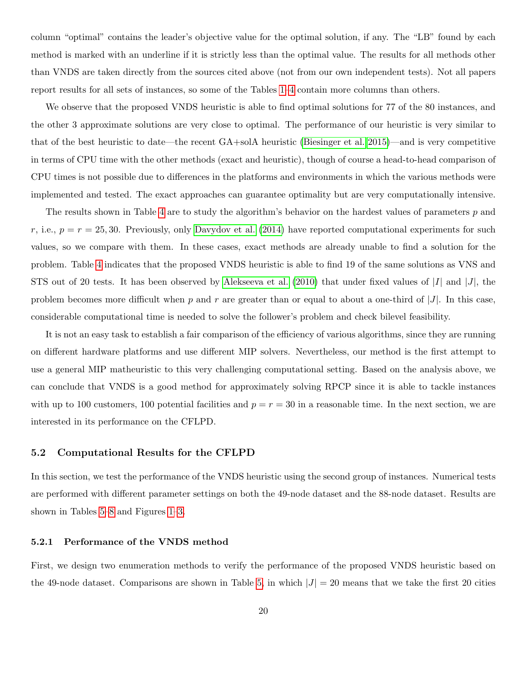column "optimal" contains the leader's objective value for the optimal solution, if any. The "LB" found by each method is marked with an underline if it is strictly less than the optimal value. The results for all methods other than VNDS are taken directly from the sources cited above (not from our own independent tests). Not all papers report results for all sets of instances, so some of the Tables [1–](#page-17-0)[4](#page-18-0) contain more columns than others.

We observe that the proposed VNDS heuristic is able to find optimal solutions for 77 of the 80 instances, and the other 3 approximate solutions are very close to optimal. The performance of our heuristic is very similar to that of the best heuristic to date—the recent GA+solA heuristic [\(Biesinger et al. 2015\)](#page-29-3)—and is very competitive in terms of CPU time with the other methods (exact and heuristic), though of course a head-to-head comparison of CPU times is not possible due to differences in the platforms and environments in which the various methods were implemented and tested. The exact approaches can guarantee optimality but are very computationally intensive.

The results shown in Table [4](#page-18-0) are to study the algorithm's behavior on the hardest values of parameters p and r, i.e.,  $p = r = 25, 30$ . Previously, only [Davydov et al.](#page-30-6) [\(2014\)](#page-30-6) have reported computational experiments for such values, so we compare with them. In these cases, exact methods are already unable to find a solution for the problem. Table [4](#page-18-0) indicates that the proposed VNDS heuristic is able to find 19 of the same solutions as VNS and STS out of 20 tests. It has been observed by [Alekseeva et al.](#page-29-0) [\(2010\)](#page-29-0) that under fixed values of  $|I|$  and  $|J|$ , the problem becomes more difficult when p and r are greater than or equal to about a one-third of  $|J|$ . In this case, considerable computational time is needed to solve the follower's problem and check bilevel feasibility.

It is not an easy task to establish a fair comparison of the efficiency of various algorithms, since they are running on different hardware platforms and use different MIP solvers. Nevertheless, our method is the first attempt to use a general MIP matheuristic to this very challenging computational setting. Based on the analysis above, we can conclude that VNDS is a good method for approximately solving RPCP since it is able to tackle instances with up to 100 customers, 100 potential facilities and  $p = r = 30$  in a reasonable time. In the next section, we are interested in its performance on the CFLPD.

#### 5.2 Computational Results for the CFLPD

In this section, we test the performance of the VNDS heuristic using the second group of instances. Numerical tests are performed with different parameter settings on both the 49-node dataset and the 88-node dataset. Results are shown in Tables [5–](#page-20-0)[8](#page-23-0) and Figures [1–](#page-23-1)[3.](#page-24-0)

#### 5.2.1 Performance of the VNDS method

First, we design two enumeration methods to verify the performance of the proposed VNDS heuristic based on the 49-node dataset. Comparisons are shown in Table [5,](#page-20-0) in which  $|J| = 20$  means that we take the first 20 cities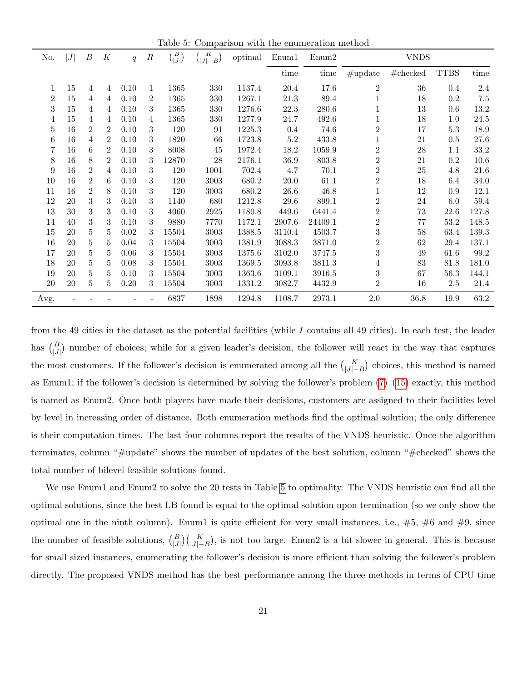No. |J|  $B$   $K$   $q$   $R$   $\left(\begin{matrix} B \\ I \end{matrix}\right)$  $\overline{\binom{B}{|J|}}$  $\Big)$   $\Big( \frac{K}{|J|-B} \Big)$ optimal Enum1 Enum2 VNDS time time #update #checked TTBS time 1 15 4 4 0.10 1 1365 330 1137.4 20.4 17.6 2 36 0.4 2.4 2 15 4 4 0.10 2 1365 330 1267.1 21.3 89.4 1 18 0.2 7.5 3 15 4 4 0.10 3 1365 330 1276.6 22.3 280.6 1 13 0.6 13.2 4 15 4 4 0.10 4 1365 330 1277.9 24.7 492.6 1 18 1.0 24.5 5 16 2 2 0.10 3 120 91 1225.3 0.4 74.6 2 17 5.3 18.9 6 16 4 2 0.10 3 1820 66 1723.8 5.2 433.8 1 21 0.5 27.6 7 16 6 2 0.10 3 8008 45 1972.4 18.2 1059.9 2 28 1.1 33.2 8 16 8 2 0.10 3 12870 28 2176.1 36.9 803.8 2 21 0.2 10.6 9 16 2 4 0.10 3 120 1001 702.4 4.7 70.1 2 25 4.8 21.6 10 16 2 6 0.10 3 120 3003 680.2 20.0 61.1 2 18 6.4 34.0 11 16 2 8 0.10 3 120 3003 680.2 26.6 46.8 1 12 0.9 12.1 12 20 3 3 0.10 3 1140 680 1212.8 29.6 899.1 2 24 6.0 59.4 13 30 3 3 0.10 3 4060 2925 1180.8 449.6 6441.4 2 73 22.6 127.8 14 40 3 3 0.10 3 9880 7770 1172.1 2907.6 24409.1 2 77 53.2 148.5 15 20 5 5 0.02 3 15504 3003 1388.5 3110.4 4503.7 3 58 63.4 139.3 16 20 5 5 0.04 3 15504 3003 1381.9 3088.3 3871.0 2 62 29.4 137.1 17 20 5 5 0.06 3 15504 3003 1375.6 3102.0 3747.5 3 49 61.6 99.2 18 20 5 5 0.08 3 15504 3003 1369.5 3093.8 3811.3 4 83 81.8 181.0 19 20 5 5 0.10 3 15504 3003 1363.6 3109.1 3916.5 3 67 56.3 144.1 20 20 5 5 0.20 3 15504 3003 1331.2 3082.7 4432.9 2 16 2.5 21.4 Avg. - - - - - 6837 1898 1294.8 1108.7 2973.1 2.0 36.8 19.9 63.2

<span id="page-20-0"></span>Table 5: Comparison with the enumeration method

from the 49 cities in the dataset as the potential facilities (while I contains all 49 cities). In each test, the leader has  $\binom{B}{|J|}$  number of choices; while for a given leader's decision, the follower will react in the way that captures the most customers. If the follower's decision is enumerated among all the  $\binom{K}{|J|-B}$  choices, this method is named as Enum1; if the follower's decision is determined by solving the follower's problem [\(7\)](#page-6-10)–[\(15\)](#page-6-8) exactly, this method is named as Enum2. Once both players have made their decisions, customers are assigned to their facilities level by level in increasing order of distance. Both enumeration methods find the optimal solution; the only difference is their computation times. The last four columns report the results of the VNDS heuristic. Once the algorithm terminates, column "#update" shows the number of updates of the best solution, column "#checked" shows the total number of bilevel feasible solutions found.

We use Enum1 and Enum2 to solve the 20 tests in Table [5](#page-20-0) to optimality. The VNDS heuristic can find all the optimal solutions, since the best LB found is equal to the optimal solution upon termination (so we only show the optimal one in the ninth column). Enum1 is quite efficient for very small instances, i.e.,  $\#5$ ,  $\#6$  and  $\#9$ , since the number of feasible solutions,  $\binom{B}{|J|}\binom{K}{|J|-B}$ , is not too large. Enum2 is a bit slower in general. This is because for small sized instances, enumerating the follower's decision is more efficient than solving the follower's problem directly. The proposed VNDS method has the best performance among the three methods in terms of CPU time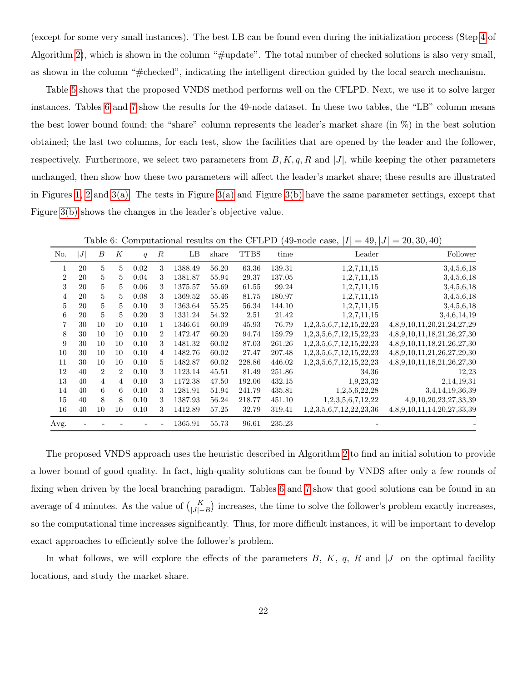(except for some very small instances). The best LB can be found even during the initialization process (Step [4](#page-11-2) of Algorithm [2\)](#page-11-0), which is shown in the column "#update". The total number of checked solutions is also very small, as shown in the column "#checked", indicating the intelligent direction guided by the local search mechanism.

Table [5](#page-20-0) shows that the proposed VNDS method performs well on the CFLPD. Next, we use it to solve larger instances. Tables [6](#page-21-0) and [7](#page-22-0) show the results for the 49-node dataset. In these two tables, the "LB" column means the best lower bound found; the "share" column represents the leader's market share (in %) in the best solution obtained; the last two columns, for each test, show the facilities that are opened by the leader and the follower, respectively. Furthermore, we select two parameters from  $B, K, q, R$  and  $|J|$ , while keeping the other parameters unchanged, then show how these two parameters will affect the leader's market share; these results are illustrated in Figures [1,](#page-23-1) [2](#page-23-2) and [3\(a\).](#page-24-1) The tests in Figure [3\(a\)](#page-24-1) and Figure [3\(b\)](#page-24-2) have the same parameter settings, except that Figure [3\(b\)](#page-24-2) shows the changes in the leader's objective value.

<span id="page-21-0"></span>Table 6: Computational results on the CFLPD (49-node case,  $|I| = 49, |J| = 20, 30, 40$ )

| No.            | $\vert J \vert$ | B              | К              | q    | $_{R}$         | LB      | share | <b>TTBS</b> | time   | Leader                  | Follower                   |
|----------------|-----------------|----------------|----------------|------|----------------|---------|-------|-------------|--------|-------------------------|----------------------------|
| 1              | 20              | 5              | 5              | 0.02 | 3              | 1388.49 | 56.20 | 63.36       | 139.31 | 1,2,7,11,15             | 3,4,5,6,18                 |
| $\overline{2}$ | 20              | 5              | $\overline{5}$ | 0.04 | 3              | 1381.87 | 55.94 | 29.37       | 137.05 | 1,2,7,11,15             | 3,4,5,6,18                 |
| 3              | 20              | 5              | 5              | 0.06 | 3              | 1375.57 | 55.69 | 61.55       | 99.24  | 1,2,7,11,15             | 3,4,5,6,18                 |
| 4              | 20              | 5              | 5              | 0.08 | 3              | 1369.52 | 55.46 | 81.75       | 180.97 | 1,2,7,11,15             | 3,4,5,6,18                 |
| 5              | 20              | 5              | 5              | 0.10 | 3              | 1363.64 | 55.25 | 56.34       | 144.10 | 1,2,7,11,15             | 3,4,5,6,18                 |
| 6              | 20              | 5              | 5              | 0.20 | 3              | 1331.24 | 54.32 | 2.51        | 21.42  | 1,2,7,11,15             | 3,4,6,14,19                |
|                | 30              | 10             | 10             | 0.10 | 1              | 1346.61 | 60.09 | 45.93       | 76.79  | 1,2,3,5,6,7,12,15,22,23 | 4,8,9,10,11,20,21,24,27,29 |
| 8              | 30              | 10             | 10             | 0.10 | $\overline{2}$ | 1472.47 | 60.20 | 94.74       | 159.79 | 1,2,3,5,6,7,12,15,22,23 | 4,8,9,10,11,18,21,26,27,30 |
| 9              | 30              | 10             | 10             | 0.10 | 3              | 1481.32 | 60.02 | 87.03       | 261.26 | 1,2,3,5,6,7,12,15,22,23 | 4,8,9,10,11,18,21,26,27,30 |
| 10             | 30              | 10             | 10             | 0.10 | 4              | 1482.76 | 60.02 | 27.47       | 207.48 | 1,2,3,5,6,7,12,15,22,23 | 4,8,9,10,11,21,26,27,29,30 |
| 11             | 30              | 10             | 10             | 0.10 | 5              | 1482.87 | 60.02 | 228.86      | 446.02 | 1,2,3,5,6,7,12,15,22,23 | 4,8,9,10,11,18,21,26,27,30 |
| 12             | 40              | $\overline{2}$ | $\overline{2}$ | 0.10 | 3              | 1123.14 | 45.51 | 81.49       | 251.86 | 34,36                   | 12,23                      |
| 13             | 40              | 4              | 4              | 0.10 | 3              | 1172.38 | 47.50 | 192.06      | 432.15 | 1,9,23,32               | 2,14,19,31                 |
| 14             | 40              | 6              | 6              | 0.10 | 3              | 1281.91 | 51.94 | 241.79      | 435.81 | 1,2,5,6,22,28           | 3,4,14,19,36,39            |
| 15             | 40              | 8              | 8              | 0.10 | 3              | 1387.93 | 56.24 | 218.77      | 451.10 | 1,2,3,5,6,7,12,22       | 4,9,10,20,23,27,33,39      |
| 16             | 40              | 10             | 10             | 0.10 | 3              | 1412.89 | 57.25 | 32.79       | 319.41 | 1,2,3,5,6,7,12,22,23,36 | 4,8,9,10,11,14,20,27,33,39 |
| Avg.           |                 |                |                |      |                | 1365.91 | 55.73 | 96.61       | 235.23 |                         |                            |

The proposed VNDS approach uses the heuristic described in Algorithm [2](#page-11-0) to find an initial solution to provide a lower bound of good quality. In fact, high-quality solutions can be found by VNDS after only a few rounds of fixing when driven by the local branching paradigm. Tables [6](#page-21-0) and [7](#page-22-0) show that good solutions can be found in an average of 4 minutes. As the value of  $\binom{K}{|J|-B}$  increases, the time to solve the follower's problem exactly increases, so the computational time increases significantly. Thus, for more difficult instances, it will be important to develop exact approaches to efficiently solve the follower's problem.

In what follows, we will explore the effects of the parameters  $B, K, q, R$  and  $|J|$  on the optimal facility locations, and study the market share.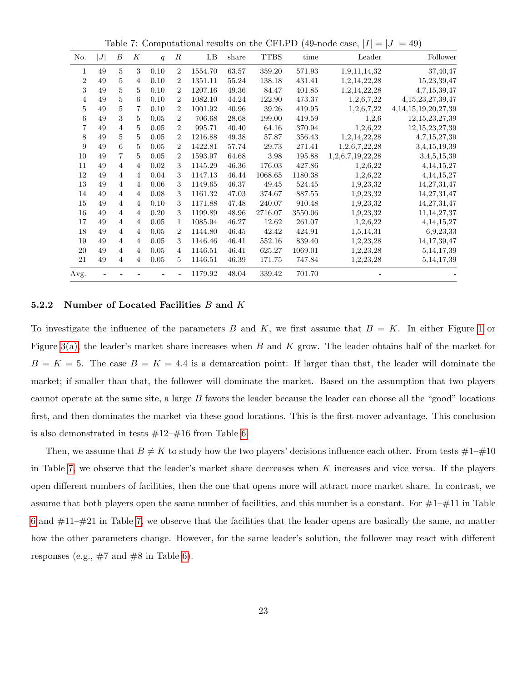<span id="page-22-0"></span>Table 7: Computational results on the CFLPD (49-node case,  $|I| = |J| = 49$ )

| No.            | $\vert J \vert$ | $\boldsymbol{B}$ | Κ              | q    | $\boldsymbol{R}$ | $_{\rm LB}$ | share | <b>TTBS</b> | time    | Leader           | Follower                  |
|----------------|-----------------|------------------|----------------|------|------------------|-------------|-------|-------------|---------|------------------|---------------------------|
| 1              | 49              | 5                | 3              | 0.10 | $\overline{2}$   | 1554.70     | 63.57 | 359.20      | 571.93  | 1,9,11,14,32     | 37,40,47                  |
| $\overline{2}$ | 49              | 5                | $\overline{4}$ | 0.10 | $\overline{2}$   | 1351.11     | 55.24 | 138.18      | 431.41  | 1,2,14,22,28     | 15,23,39,47               |
| 3              | 49              | 5                | 5              | 0.10 | $\overline{2}$   | 1207.16     | 49.36 | 84.47       | 401.85  | 1,2,14,22,28     | 4,7,15,39,47              |
| 4              | 49              | 5                | 6              | 0.10 | $\overline{2}$   | 1082.10     | 44.24 | 122.90      | 473.37  | 1,2,6,7,22       | 4, 15, 23, 27, 39, 47     |
| 5              | 49              | 5                | 7              | 0.10 | $\overline{2}$   | 1001.92     | 40.96 | 39.26       | 419.95  | 1,2,6,7,22       | 4, 14, 15, 19, 20, 27, 39 |
| 6              | 49              | 3                | 5              | 0.05 | $\overline{2}$   | 706.68      | 28.68 | 199.00      | 419.59  | 1,2,6            | 12, 15, 23, 27, 39        |
| 7              | 49              | 4                | 5              | 0.05 | $\overline{2}$   | 995.71      | 40.40 | 64.16       | 370.94  | 1,2,6,22         | 12, 15, 23, 27, 39        |
| 8              | 49              | 5                | 5              | 0.05 | $\overline{2}$   | 1216.88     | 49.38 | 57.87       | 356.43  | 1,2,14,22,28     | 4,7,15,27,39              |
| 9              | 49              | 6                | 5              | 0.05 | $\overline{2}$   | 1422.81     | 57.74 | 29.73       | 271.41  | 1,2,6,7,22,28    | 3,4,15,19,39              |
| 10             | 49              | 7                | $\overline{5}$ | 0.05 | $\overline{2}$   | 1593.97     | 64.68 | 3.98        | 195.88  | 1,2,6,7,19,22,28 | 3,4,5,15,39               |
| 11             | 49              | 4                | $\overline{4}$ | 0.02 | 3                | 1145.29     | 46.36 | 176.03      | 427.86  | 1,2,6,22         | 4,14,15,27                |
| 12             | 49              | $\overline{4}$   | $\overline{4}$ | 0.04 | 3                | 1147.13     | 46.44 | 1068.65     | 1180.38 | 1,2,6,22         | 4,14,15,27                |
| 13             | 49              | 4                | $\overline{4}$ | 0.06 | 3                | 1149.65     | 46.37 | 49.45       | 524.45  | 1,9,23,32        | 14,27,31,47               |
| 14             | 49              | $\overline{4}$   | $\overline{4}$ | 0.08 | 3                | 1161.32     | 47.03 | 374.67      | 887.55  | 1,9,23,32        | 14,27,31,47               |
| 15             | 49              | $\overline{4}$   | $\overline{4}$ | 0.10 | 3                | 1171.88     | 47.48 | 240.07      | 910.48  | 1,9,23,32        | 14,27,31,47               |
| 16             | 49              | 4                | $\overline{4}$ | 0.20 | 3                | 1199.89     | 48.96 | 2716.07     | 3550.06 | 1,9,23,32        | 11, 14, 27, 37            |
| 17             | 49              | 4                | $\overline{4}$ | 0.05 | 1                | 1085.94     | 46.27 | 12.62       | 261.07  | 1,2,6,22         | 4, 14, 15, 27             |
| 18             | 49              | 4                | $\overline{4}$ | 0.05 | $\overline{2}$   | 1144.80     | 46.45 | 42.42       | 424.91  | 1,5,14,31        | 6,9,23,33                 |
| 19             | 49              | 4                | $\overline{4}$ | 0.05 | 3                | 1146.46     | 46.41 | 552.16      | 839.40  | 1,2,23,28        | 14,17,39,47               |
| 20             | 49              | $\overline{4}$   | $\overline{4}$ | 0.05 | 4                | 1146.51     | 46.41 | 625.27      | 1069.01 | 1,2,23,28        | 5, 14, 17, 39             |
| 21             | 49              | 4                | $\overline{4}$ | 0.05 | 5                | 1146.51     | 46.39 | 171.75      | 747.84  | 1,2,23,28        | 5, 14, 17, 39             |
| Avg.           |                 |                  |                |      |                  | 1179.92     | 48.04 | 339.42      | 701.70  |                  |                           |

#### 5.2.2 Number of Located Facilities B and K

To investigate the influence of the parameters B and K, we first assume that  $B = K$ . In either Figure [1](#page-23-1) or Figure [3\(a\),](#page-24-1) the leader's market share increases when B and K grow. The leader obtains half of the market for  $B = K = 5$ . The case  $B = K = 4.4$  is a demarcation point: If larger than that, the leader will dominate the market; if smaller than that, the follower will dominate the market. Based on the assumption that two players cannot operate at the same site, a large B favors the leader because the leader can choose all the "good" locations first, and then dominates the market via these good locations. This is the first-mover advantage. This conclusion is also demonstrated in tests  $\#12-\#16$  from Table [6.](#page-21-0)

Then, we assume that  $B \neq K$  to study how the two players' decisions influence each other. From tests  $\#1-\#10$ in Table [7,](#page-22-0) we observe that the leader's market share decreases when K increases and vice versa. If the players open different numbers of facilities, then the one that opens more will attract more market share. In contrast, we assume that both players open the same number of facilities, and this number is a constant. For  $\#1-\#11$  in Table [6](#page-21-0) and  $\#11-\#21$  in Table [7,](#page-22-0) we observe that the facilities that the leader opens are basically the same, no matter how the other parameters change. However, for the same leader's solution, the follower may react with different responses (e.g.,  $\#7$  and  $\#8$  in Table [6\)](#page-21-0).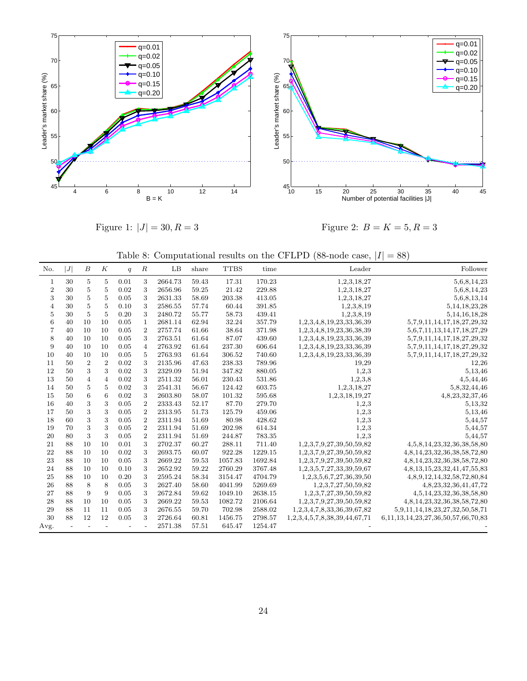

<span id="page-23-1"></span>Figure 1:  $|J| = 30, R = 3$ 

<span id="page-23-2"></span>Figure 2:  $B = K = 5, R = 3$ 

<span id="page-23-0"></span>

| No.            | J  | $\boldsymbol{B}$ | К              | q    | $\boldsymbol{R}$ | LB      | share | <b>TTBS</b> | time    | Leader                       | Follower                            |
|----------------|----|------------------|----------------|------|------------------|---------|-------|-------------|---------|------------------------------|-------------------------------------|
| 1              | 30 | 5                | 5              | 0.01 | 3                | 2664.73 | 59.43 | 17.31       | 170.23  | 1,2,3,18,27                  | 5,6,8,14,23                         |
| $\overline{2}$ | 30 | 5                | 5              | 0.02 | 3                | 2656.96 | 59.25 | 21.42       | 229.88  | 1,2,3,18,27                  | 5,6,8,14,23                         |
| 3              | 30 | $\overline{5}$   | 5              | 0.05 | 3                | 2631.33 | 58.69 | 203.38      | 413.05  | 1,2,3,18,27                  | 5,6,8,13,14                         |
| $\overline{4}$ | 30 | 5                | 5              | 0.10 | 3                | 2586.55 | 57.74 | 60.44       | 391.85  | 1,2,3,8,19                   | 5, 14, 18, 23, 28                   |
| $\overline{5}$ | 30 | 5                | 5              | 0.20 | 3                | 2480.72 | 55.77 | 58.73       | 439.41  | 1,2,3,8,19                   | 5, 14, 16, 18, 28                   |
| 6              | 40 | 10               | 10             | 0.05 | $\mathbf{1}$     | 2681.14 | 62.94 | 32.24       | 357.79  | 1,2,3,4,8,19,23,33,36,39     | 5,7,9,11,14,17,18,27,29,32          |
| $\overline{7}$ | 40 | 10               | 10             | 0.05 | $\overline{2}$   | 2757.74 | 61.66 | 38.64       | 371.98  | 1,2,3,4,8,19,23,36,38,39     | 5, 6, 7, 11, 13, 14, 17, 18, 27, 29 |
| 8              | 40 | 10               | 10             | 0.05 | 3                | 2763.51 | 61.64 | 87.07       | 439.60  | 1,2,3,4,8,19,23,33,36,39     | 5,7,9,11,14,17,18,27,29,32          |
| 9              | 40 | 10               | 10             | 0.05 | $\overline{4}$   | 2763.92 | 61.64 | 237.30      | 606.64  | 1,2,3,4,8,19,23,33,36,39     | 5,7,9,11,14,17,18,27,29,32          |
| 10             | 40 | 10               | 10             | 0.05 | 5                | 2763.93 | 61.64 | 306.52      | 740.60  | 1,2,3,4,8,19,23,33,36,39     | 5,7,9,11,14,17,18,27,29,32          |
| 11             | 50 | $\sqrt{2}$       | $\overline{2}$ | 0.02 | 3                | 2135.96 | 47.63 | 238.33      | 789.96  | 19,29                        | 12,26                               |
| 12             | 50 | 3                | 3              | 0.02 | 3                | 2329.09 | 51.94 | 347.82      | 880.05  | 1,2,3                        | 5,13,46                             |
| 13             | 50 | $\overline{4}$   | $\overline{4}$ | 0.02 | 3                | 2511.32 | 56.01 | 230.43      | 531.86  | 1,2,3,8                      | 4,5,44,46                           |
| 14             | 50 | 5                | 5              | 0.02 | 3                | 2541.31 | 56.67 | 124.42      | 603.75  | 1,2,3,18,27                  | 5,8,32,44,46                        |
| 15             | 50 | 6                | 6              | 0.02 | 3                | 2603.80 | 58.07 | 101.32      | 595.68  | 1,2,3,18,19,27               | 4,8,23,32,37,46                     |
| 16             | 40 | 3                | 3              | 0.05 | $\overline{2}$   | 2333.43 | 52.17 | 87.70       | 279.70  | 1,2,3                        | 5,13,32                             |
| 17             | 50 | $\boldsymbol{3}$ | 3              | 0.05 | $\overline{2}$   | 2313.95 | 51.73 | 125.79      | 459.06  | 1,2,3                        | 5,13,46                             |
| 18             | 60 | $\boldsymbol{3}$ | 3              | 0.05 | $\sqrt{2}$       | 2311.94 | 51.69 | 80.98       | 428.62  | 1,2,3                        | 5,44,57                             |
| 19             | 70 | 3                | 3              | 0.05 | $\overline{2}$   | 2311.94 | 51.69 | 202.98      | 614.34  | 1,2,3                        | 5,44,57                             |
| 20             | 80 | 3                | 3              | 0.05 | $\overline{2}$   | 2311.94 | 51.69 | 244.87      | 783.35  | 1,2,3                        | 5,44,57                             |
| 21             | 88 | 10               | 10             | 0.01 | 3                | 2702.37 | 60.27 | 288.11      | 711.40  | 1,2,3,7,9,27,39,50,59,82     | 4, 5, 8, 14, 23, 32, 36, 38, 58, 80 |
| 22             | 88 | 10               | 10             | 0.02 | 3                | 2693.75 | 60.07 | 922.28      | 1229.15 | 1,2,3,7,9,27,39,50,59,82     | 4,8,14,23,32,36,38,58,72,80         |
| 23             | 88 | 10               | 10             | 0.05 | 3                | 2669.22 | 59.53 | 1057.83     | 1692.84 | 1,2,3,7,9,27,39,50,59,82     | 4,8,14,23,32,36,38,58,72,80         |
| 24             | 88 | 10               | 10             | 0.10 | 3                | 2652.92 | 59.22 | 2760.29     | 3767.48 | 1,2,3,5,7,27,33,39,59,67     | 4,8,13,15,23,32,41,47,55,83         |
| 25             | 88 | 10               | 10             | 0.20 | 3                | 2595.24 | 58.34 | 3154.47     | 4704.79 | 1,2,3,5,6,7,27,36,39,50      | 4,8,9,12,14,32,58,72,80,84          |
| 26             | 88 | 8                | 8              | 0.05 | 3                | 2627.40 | 58.60 | 4041.99     | 5269.69 | 1,2,3,7,27,50,59,82          | 4,8,23,32,36,41,47,72               |
| 27             | 88 | 9                | 9              | 0.05 | 3                | 2672.84 | 59.62 | 1049.10     | 2638.15 | 1,2,3,7,27,39,50,59,82       | 4,5,14,23,32,36,38,58,80            |
| 28             | 88 | 10               | 10             | 0.05 | 3                | 2669.22 | 59.53 | 1082.72     | 2106.64 | 1,2,3,7,9,27,39,50,59,82     | 4,8,14,23,32,36,38,58,72,80         |
| 29             | 88 | 11               | 11             | 0.05 | 3                | 2676.55 | 59.70 | 702.98      | 2588.02 | 1,2,3,4,7,8,33,36,39,67,82   | 5,9,11,14,18,23,27,32,50,58,71      |
| 30             | 88 | 12               | 12             | 0.05 | 3                | 2726.64 | 60.81 | 1456.75     | 2798.57 | 1,2,3,4,5,7,8,38,39,44,67,71 | 6,11,13,14,23,27,36,50,57,66,70,83  |
| Avg.           |    |                  |                |      |                  | 2571.38 | 57.51 | 645.47      | 1254.47 |                              |                                     |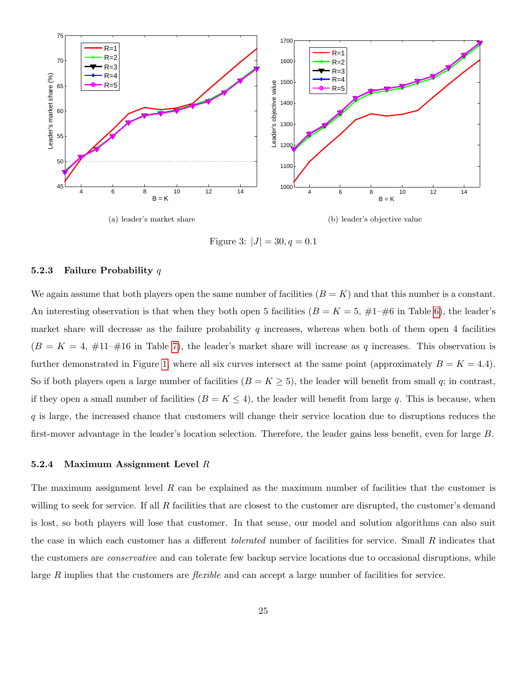<span id="page-24-1"></span>

<span id="page-24-2"></span><span id="page-24-0"></span>Figure 3:  $|J| = 30, q = 0.1$ 

#### 5.2.3 Failure Probability  $q$

We again assume that both players open the same number of facilities  $(B = K)$  and that this number is a constant. An interesting observation is that when they both open 5 facilities  $(B = K = 5, \#1-\#6$  in Table [6\)](#page-21-0), the leader's market share will decrease as the failure probability q increases, whereas when both of them open 4 facilities  $(B = K = 4, #11-\#16$  in Table [7\)](#page-22-0), the leader's market share will increase as q increases. This observation is further demonstrated in Figure [1,](#page-23-1) where all six curves intersect at the same point (approximately  $B = K = 4.4$ ). So if both players open a large number of facilities  $(B = K \ge 5)$ , the leader will benefit from small q; in contrast, if they open a small number of facilities  $(B = K \le 4)$ , the leader will benefit from large q. This is because, when  $q$  is large, the increased chance that customers will change their service location due to disruptions reduces the first-mover advantage in the leader's location selection. Therefore, the leader gains less benefit, even for large B.

#### 5.2.4 Maximum Assignment Level  $R$

The maximum assignment level R can be explained as the maximum number of facilities that the customer is willing to seek for service. If all  $R$  facilities that are closest to the customer are disrupted, the customer's demand is lost, so both players will lose that customer. In that sense, our model and solution algorithms can also suit the case in which each customer has a different *tolerated* number of facilities for service. Small R indicates that the customers are *conservative* and can tolerate few backup service locations due to occasional disruptions, while large R implies that the customers are *flexible* and can accept a large number of facilities for service.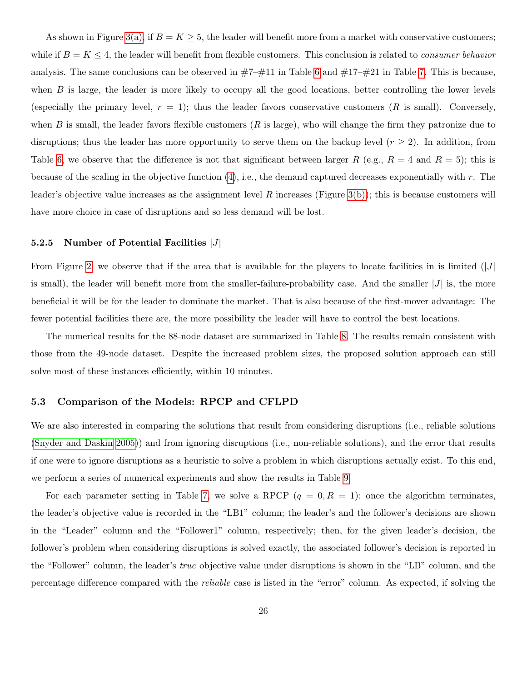As shown in Figure [3\(a\),](#page-24-1) if  $B = K \geq 5$ , the leader will benefit more from a market with conservative customers; while if  $B = K \leq 4$ , the leader will benefit from flexible customers. This conclusion is related to *consumer behavior* analysis. The same conclusions can be observed in  $\#7-\#11$  in Table [6](#page-21-0) and  $\#17-\#21$  in Table [7.](#page-22-0) This is because, when  $B$  is large, the leader is more likely to occupy all the good locations, better controlling the lower levels (especially the primary level,  $r = 1$ ); thus the leader favors conservative customers (R is small). Conversely, when B is small, the leader favors flexible customers  $(R$  is large), who will change the firm they patronize due to disruptions; thus the leader has more opportunity to serve them on the backup level  $(r \geq 2)$ . In addition, from Table [6,](#page-21-0) we observe that the difference is not that significant between larger R (e.g.,  $R = 4$  and  $R = 5$ ); this is because of the scaling in the objective function  $(4)$ , i.e., the demand captured decreases exponentially with r. The leader's objective value increases as the assignment level R increases (Figure [3\(b\)\)](#page-24-2); this is because customers will have more choice in case of disruptions and so less demand will be lost.

#### 5.2.5 Number of Potential Facilities |J|

From Figure [2,](#page-23-2) we observe that if the area that is available for the players to locate facilities in is limited  $(|J|)$ is small), the leader will benefit more from the smaller-failure-probability case. And the smaller  $|J|$  is, the more beneficial it will be for the leader to dominate the market. That is also because of the first-mover advantage: The fewer potential facilities there are, the more possibility the leader will have to control the best locations.

The numerical results for the 88-node dataset are summarized in Table [8.](#page-23-0) The results remain consistent with those from the 49-node dataset. Despite the increased problem sizes, the proposed solution approach can still solve most of these instances efficiently, within 10 minutes.

#### 5.3 Comparison of the Models: RPCP and CFLPD

We are also interested in comparing the solutions that result from considering disruptions (i.e., reliable solutions [\(Snyder and Daskin 2005\)](#page-31-0)) and from ignoring disruptions (i.e., non-reliable solutions), and the error that results if one were to ignore disruptions as a heuristic to solve a problem in which disruptions actually exist. To this end, we perform a series of numerical experiments and show the results in Table [9.](#page-27-1)

For each parameter setting in Table [7,](#page-22-0) we solve a RPCP  $(q = 0, R = 1)$ ; once the algorithm terminates, the leader's objective value is recorded in the "LB1" column; the leader's and the follower's decisions are shown in the "Leader" column and the "Follower1" column, respectively; then, for the given leader's decision, the follower's problem when considering disruptions is solved exactly, the associated follower's decision is reported in the "Follower" column, the leader's true objective value under disruptions is shown in the "LB" column, and the percentage difference compared with the reliable case is listed in the "error" column. As expected, if solving the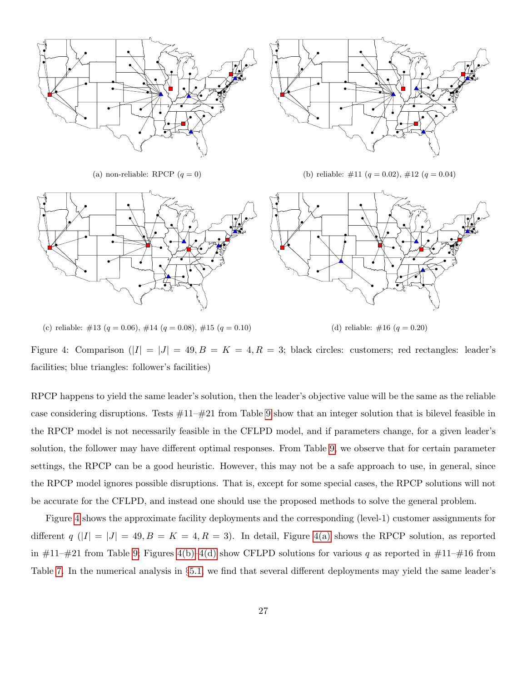<span id="page-26-1"></span>

(a) non-reliable: RPCP  $(q = 0)$ 



<span id="page-26-2"></span>(b) reliable:  $\#11$  ( $q = 0.02$ ),  $\#12$  ( $q = 0.04$ )



<span id="page-26-4"></span><span id="page-26-0"></span>(c) reliable: #13  $(q = 0.06)$ , #14  $(q = 0.08)$ , #15  $(q = 0.10)$ 

<span id="page-26-3"></span>(d) reliable: #16  $(q = 0.20)$ 

Figure 4: Comparison  $(|I| = |J| = 49, B = K = 4, R = 3$ ; black circles: customers; red rectangles: leader's facilities; blue triangles: follower's facilities)

1 1 RPCP happens to yield the same leader's solution, then the leader's objective value will be the same as the reliable case considering disruptions. Tests #11–#21 from Table [9](#page-27-1) show that an integer solution that is bilevel feasible in the RPCP model is not necessarily feasible in the CFLPD model, and if parameters change, for a given leader's solution, the follower may have different optimal responses. From Table [9,](#page-27-1) we observe that for certain parameter settings, the RPCP can be a good heuristic. However, this may not be a safe approach to use, in general, since the RPCP model ignores possible disruptions. That is, except for some special cases, the RPCP solutions will not be accurate for the CFLPD, and instead one should use the proposed methods to solve the general problem.

Figure [4](#page-26-0) shows the approximate facility deployments and the corresponding (level-1) customer assignments for different  $q$  ( $|I| = |J| = 49, B = K = 4, R = 3$ ). In detail, Figure [4\(a\)](#page-26-1) shows the RPCP solution, as reported in  $\#11-\#21$  from Table [9;](#page-27-1) Figures [4\(b\)–](#page-26-2)[4\(d\)](#page-26-3) show CFLPD solutions for various q as reported in  $\#11-\#16$  from Table [7.](#page-22-0) In the numerical analysis in §[5.1,](#page-16-1) we find that several different deployments may yield the same leader's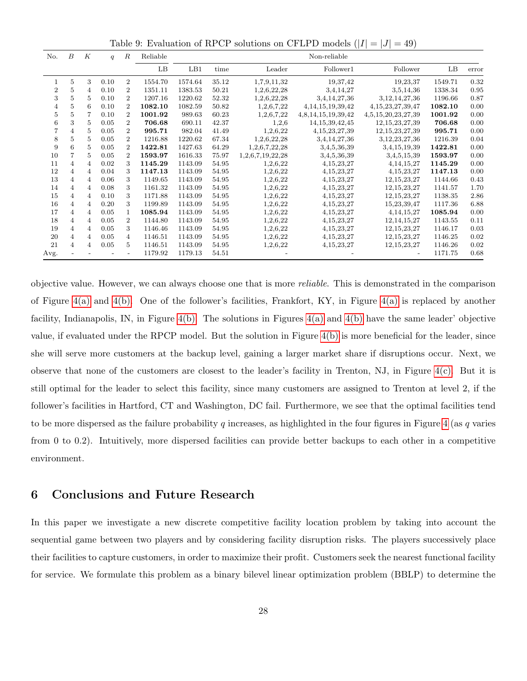<span id="page-27-1"></span>Table 9: Evaluation of RPCP solutions on CFLPD models  $(|I| = |J| = 49)$ 

| No.  | $\boldsymbol{B}$ | К | q    | $\boldsymbol{R}$ | Reliable |         |       |                  | Non-reliable          |                       |         |       |
|------|------------------|---|------|------------------|----------|---------|-------|------------------|-----------------------|-----------------------|---------|-------|
|      |                  |   |      |                  | LB       | LB1     | time  | Leader           | Follower1             | Follower              | LB      | error |
| 1    | $\overline{5}$   | 3 | 0.10 | $\overline{2}$   | 1554.70  | 1574.64 | 35.12 | 1,7,9,11,32      | 19,37,42              | 19,23,37              | 1549.71 | 0.32  |
| 2    | 5                | 4 | 0.10 | $\overline{2}$   | 1351.11  | 1383.53 | 50.21 | 1,2,6,22,28      | 3,4,14,27             | 3,5,14,36             | 1338.34 | 0.95  |
| 3    | 5                | 5 | 0.10 | $\overline{2}$   | 1207.16  | 1220.62 | 52.32 | 1,2,6,22,28      | 3,4,14,27,36          | 3, 12, 14, 27, 36     | 1196.66 | 0.87  |
| 4    | 5                | 6 | 0.10 | 2                | 1082.10  | 1082.59 | 50.82 | 1,2,6,7,22       | 4, 14, 15, 19, 39, 42 | 4, 15, 23, 27, 39, 47 | 1082.10 | 0.00  |
| 5    | 5                | 7 | 0.10 | $\overline{2}$   | 1001.92  | 989.63  | 60.23 | 1,2,6,7,22       | 4,8,14,15,19,39,42    | 4,5,15,20,23,27,39    | 1001.92 | 0.00  |
| 6    | 3                | 5 | 0.05 | $\overline{2}$   | 706.68   | 690.11  | 42.37 | 1,2,6            | 14, 15, 39, 42, 45    | 12, 15, 23, 27, 39    | 706.68  | 0.00  |
|      | $\overline{4}$   | 5 | 0.05 | 2                | 995.71   | 982.04  | 41.49 | 1,2,6,22         | 4, 15, 23, 27, 39     | 12,15,23,27,39        | 995.71  | 0.00  |
| 8    | 5                | 5 | 0.05 | $\overline{2}$   | 1216.88  | 1220.62 | 67.34 | 1,2,6,22,28      | 3,4,14,27,36          | 3, 12, 23, 27, 36     | 1216.39 | 0.04  |
| 9    | 6                | 5 | 0.05 | 2                | 1422.81  | 1427.63 | 64.29 | 1,2,6,7,22,28    | 3,4,5,36,39           | 3,4,15,19,39          | 1422.81 | 0.00  |
| 10   |                  | 5 | 0.05 | $\overline{2}$   | 1593.97  | 1616.33 | 75.97 | 1,2,6,7,19,22,28 | 3,4,5,36,39           | 3,4,5,15,39           | 1593.97 | 0.00  |
| 11   | 4                | 4 | 0.02 | 3                | 1145.29  | 1143.09 | 54.95 | 1,2,6,22         | 4, 15, 23, 27         | 4, 14, 15, 27         | 1145.29 | 0.00  |
| 12   | $\overline{4}$   | 4 | 0.04 | 3                | 1147.13  | 1143.09 | 54.95 | 1,2,6,22         | 4, 15, 23, 27         | 4, 15, 23, 27         | 1147.13 | 0.00  |
| 13   | 4                | 4 | 0.06 | 3                | 1149.65  | 1143.09 | 54.95 | 1,2,6,22         | 4, 15, 23, 27         | 12, 15, 23, 27        | 1144.66 | 0.43  |
| 14   | 4                | 4 | 0.08 | 3                | 1161.32  | 1143.09 | 54.95 | 1,2,6,22         | 4, 15, 23, 27         | 12, 15, 23, 27        | 1141.57 | 1.70  |
| 15   | 4                | 4 | 0.10 | 3                | 1171.88  | 1143.09 | 54.95 | 1,2,6,22         | 4, 15, 23, 27         | 12, 15, 23, 27        | 1138.35 | 2.86  |
| 16   | 4                | 4 | 0.20 | 3                | 1199.89  | 1143.09 | 54.95 | 1,2,6,22         | 4, 15, 23, 27         | 15,23,39,47           | 1117.36 | 6.88  |
| 17   | 4                | 4 | 0.05 |                  | 1085.94  | 1143.09 | 54.95 | 1,2,6,22         | 4, 15, 23, 27         | 4, 14, 15, 27         | 1085.94 | 0.00  |
| 18   | 4                | 4 | 0.05 | $\overline{2}$   | 1144.80  | 1143.09 | 54.95 | 1,2,6,22         | 4, 15, 23, 27         | 12, 14, 15, 27        | 1143.55 | 0.11  |
| 19   | $\overline{4}$   | 4 | 0.05 | 3                | 1146.46  | 1143.09 | 54.95 | 1,2,6,22         | 4, 15, 23, 27         | 12, 15, 23, 27        | 1146.17 | 0.03  |
| 20   | $\overline{4}$   | 4 | 0.05 | 4                | 1146.51  | 1143.09 | 54.95 | 1,2,6,22         | 4, 15, 23, 27         | 12, 15, 23, 27        | 1146.25 | 0.02  |
| 21   | 4                | 4 | 0.05 | 5                | 1146.51  | 1143.09 | 54.95 | 1,2,6,22         | 4, 15, 23, 27         | 12, 15, 23, 27        | 1146.26 | 0.02  |
| Avg. |                  |   |      |                  | 1179.92  | 1179.13 | 54.51 |                  |                       |                       | 1171.75 | 0.68  |

objective value. However, we can always choose one that is more reliable. This is demonstrated in the comparison of Figure [4\(a\)](#page-26-1) and [4\(b\).](#page-26-2) One of the follower's facilities, Frankfort, KY, in Figure [4\(a\)](#page-26-1) is replaced by another facility, Indianapolis, IN, in Figure  $4(b)$ . The solutions in Figures  $4(a)$  and  $4(b)$  have the same leader' objective value, if evaluated under the RPCP model. But the solution in Figure [4\(b\)](#page-26-2) is more beneficial for the leader, since she will serve more customers at the backup level, gaining a larger market share if disruptions occur. Next, we observe that none of the customers are closest to the leader's facility in Trenton, NJ, in Figure [4\(c\).](#page-26-4) But it is still optimal for the leader to select this facility, since many customers are assigned to Trenton at level 2, if the follower's facilities in Hartford, CT and Washington, DC fail. Furthermore, we see that the optimal facilities tend to be more dispersed as the failure probability q increases, as highlighted in the four figures in Figure [4](#page-26-0) (as q varies from 0 to 0.2). Intuitively, more dispersed facilities can provide better backups to each other in a competitive environment.

## <span id="page-27-0"></span>6 Conclusions and Future Research

In this paper we investigate a new discrete competitive facility location problem by taking into account the sequential game between two players and by considering facility disruption risks. The players successively place their facilities to capture customers, in order to maximize their profit. Customers seek the nearest functional facility for service. We formulate this problem as a binary bilevel linear optimization problem (BBLP) to determine the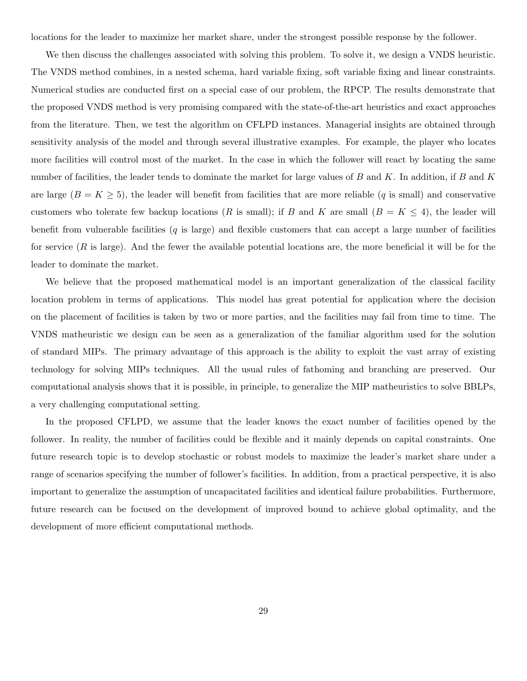locations for the leader to maximize her market share, under the strongest possible response by the follower.

We then discuss the challenges associated with solving this problem. To solve it, we design a VNDS heuristic. The VNDS method combines, in a nested schema, hard variable fixing, soft variable fixing and linear constraints. Numerical studies are conducted first on a special case of our problem, the RPCP. The results demonstrate that the proposed VNDS method is very promising compared with the state-of-the-art heuristics and exact approaches from the literature. Then, we test the algorithm on CFLPD instances. Managerial insights are obtained through sensitivity analysis of the model and through several illustrative examples. For example, the player who locates more facilities will control most of the market. In the case in which the follower will react by locating the same number of facilities, the leader tends to dominate the market for large values of  $B$  and  $K$ . In addition, if  $B$  and  $K$ are large  $(B = K \ge 5)$ , the leader will benefit from facilities that are more reliable (q is small) and conservative customers who tolerate few backup locations (R is small); if B and K are small  $(B = K \le 4)$ , the leader will benefit from vulnerable facilities  $(q \text{ is large})$  and flexible customers that can accept a large number of facilities for service  $(R$  is large). And the fewer the available potential locations are, the more beneficial it will be for the leader to dominate the market.

We believe that the proposed mathematical model is an important generalization of the classical facility location problem in terms of applications. This model has great potential for application where the decision on the placement of facilities is taken by two or more parties, and the facilities may fail from time to time. The VNDS matheuristic we design can be seen as a generalization of the familiar algorithm used for the solution of standard MIPs. The primary advantage of this approach is the ability to exploit the vast array of existing technology for solving MIPs techniques. All the usual rules of fathoming and branching are preserved. Our computational analysis shows that it is possible, in principle, to generalize the MIP matheuristics to solve BBLPs, a very challenging computational setting.

In the proposed CFLPD, we assume that the leader knows the exact number of facilities opened by the follower. In reality, the number of facilities could be flexible and it mainly depends on capital constraints. One future research topic is to develop stochastic or robust models to maximize the leader's market share under a range of scenarios specifying the number of follower's facilities. In addition, from a practical perspective, it is also important to generalize the assumption of uncapacitated facilities and identical failure probabilities. Furthermore, future research can be focused on the development of improved bound to achieve global optimality, and the development of more efficient computational methods.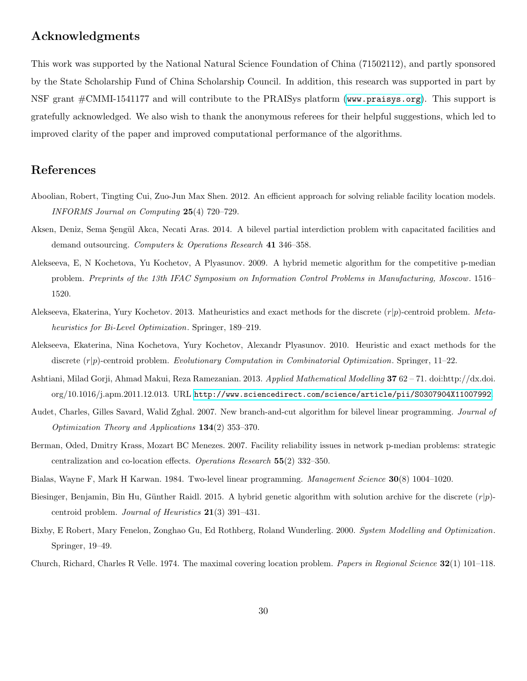# Acknowledgments

This work was supported by the National Natural Science Foundation of China (71502112), and partly sponsored by the State Scholarship Fund of China Scholarship Council. In addition, this research was supported in part by NSF grant #CMMI-1541177 and will contribute to the PRAISys platform (<www.praisys.org>). This support is gratefully acknowledged. We also wish to thank the anonymous referees for their helpful suggestions, which led to improved clarity of the paper and improved computational performance of the algorithms.

## References

- <span id="page-29-6"></span>Aboolian, Robert, Tingting Cui, Zuo-Jun Max Shen. 2012. An efficient approach for solving reliable facility location models. INFORMS Journal on Computing 25(4) 720–729.
- <span id="page-29-7"></span>Aksen, Deniz, Sema Sengül Akca, Necati Aras. 2014. A bilevel partial interdiction problem with capacitated facilities and demand outsourcing. Computers & Operations Research 41 346–358.
- <span id="page-29-2"></span>Alekseeva, E, N Kochetova, Yu Kochetov, A Plyasunov. 2009. A hybrid memetic algorithm for the competitive p-median problem. Preprints of the 13th IFAC Symposium on Information Control Problems in Manufacturing, Moscow. 1516– 1520.
- <span id="page-29-1"></span>Alekseeva, Ekaterina, Yury Kochetov. 2013. Matheuristics and exact methods for the discrete  $(r|p)$ -centroid problem. Metaheuristics for Bi-Level Optimization. Springer, 189–219.
- <span id="page-29-0"></span>Alekseeva, Ekaterina, Nina Kochetova, Yury Kochetov, Alexandr Plyasunov. 2010. Heuristic and exact methods for the discrete  $(r|p)$ -centroid problem. Evolutionary Computation in Combinatorial Optimization. Springer, 11–22.
- <span id="page-29-8"></span>Ashtiani, Milad Gorji, Ahmad Makui, Reza Ramezanian. 2013. Applied Mathematical Modelling 37 62 – 71. doi:http://dx.doi. org/10.1016/j.apm.2011.12.013. URL <http://www.sciencedirect.com/science/article/pii/S0307904X11007992>.
- <span id="page-29-10"></span>Audet, Charles, Gilles Savard, Walid Zghal. 2007. New branch-and-cut algorithm for bilevel linear programming. Journal of Optimization Theory and Applications 134(2) 353–370.
- <span id="page-29-5"></span>Berman, Oded, Dmitry Krass, Mozart BC Menezes. 2007. Facility reliability issues in network p-median problems: strategic centralization and co-location effects. Operations Research 55(2) 332–350.
- <span id="page-29-9"></span><span id="page-29-3"></span>Bialas, Wayne F, Mark H Karwan. 1984. Two-level linear programming. Management Science 30(8) 1004–1020.
- Biesinger, Benjamin, Bin Hu, Günther Raidl. 2015. A hybrid genetic algorithm with solution archive for the discrete  $(r|p)$ centroid problem. Journal of Heuristics 21(3) 391–431.
- <span id="page-29-11"></span>Bixby, E Robert, Mary Fenelon, Zonghao Gu, Ed Rothberg, Roland Wunderling. 2000. System Modelling and Optimization. Springer, 19–49.
- <span id="page-29-4"></span>Church, Richard, Charles R Velle. 1974. The maximal covering location problem. Papers in Regional Science 32(1) 101–118.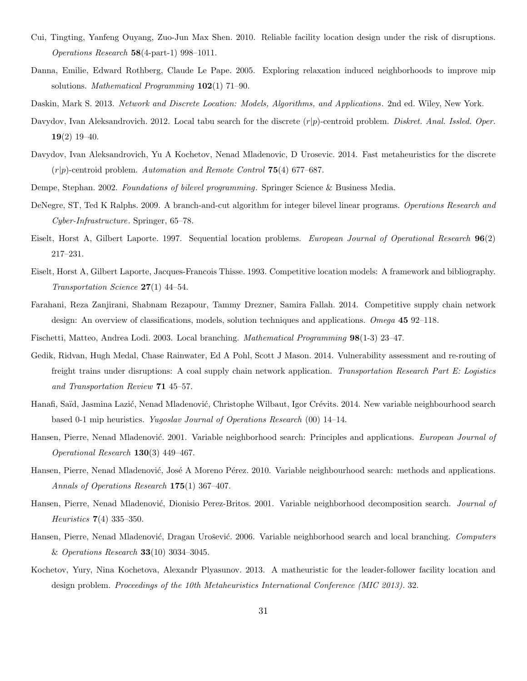- <span id="page-30-7"></span>Cui, Tingting, Yanfeng Ouyang, Zuo-Jun Max Shen. 2010. Reliable facility location design under the risk of disruptions. Operations Research 58(4-part-1) 998–1011.
- <span id="page-30-11"></span>Danna, Emilie, Edward Rothberg, Claude Le Pape. 2005. Exploring relaxation induced neighborhoods to improve mip solutions. *Mathematical Programming* **102**(1) 71–90.
- <span id="page-30-1"></span>Daskin, Mark S. 2013. Network and Discrete Location: Models, Algorithms, and Applications. 2nd ed. Wiley, New York.
- <span id="page-30-5"></span>Davydov, Ivan Aleksandrovich. 2012. Local tabu search for the discrete (r|p)-centroid problem. Diskret. Anal. Issled. Oper. 19(2) 19–40.
- <span id="page-30-6"></span>Davydov, Ivan Aleksandrovich, Yu A Kochetov, Nenad Mladenovic, D Urosevic. 2014. Fast metaheuristics for the discrete  $(r|p)$ -centroid problem. Automation and Remote Control 75(4) 677–687.
- <span id="page-30-9"></span><span id="page-30-0"></span>Dempe, Stephan. 2002. Foundations of bilevel programming. Springer Science & Business Media.
- DeNegre, ST, Ted K Ralphs. 2009. A branch-and-cut algorithm for integer bilevel linear programs. Operations Research and Cyber-Infrastructure. Springer, 65–78.
- <span id="page-30-3"></span>Eiselt, Horst A, Gilbert Laporte. 1997. Sequential location problems. European Journal of Operational Research 96(2) 217–231.
- <span id="page-30-2"></span>Eiselt, Horst A, Gilbert Laporte, Jacques-Francois Thisse. 1993. Competitive location models: A framework and bibliography. Transportation Science  $27(1)$  44–54.
- <span id="page-30-4"></span>Farahani, Reza Zanjirani, Shabnam Rezapour, Tammy Drezner, Samira Fallah. 2014. Competitive supply chain network design: An overview of classifications, models, solution techniques and applications. Omega 45 92–118.
- <span id="page-30-10"></span><span id="page-30-8"></span>Fischetti, Matteo, Andrea Lodi. 2003. Local branching. Mathematical Programming 98(1-3) 23–47.
- Gedik, Ridvan, Hugh Medal, Chase Rainwater, Ed A Pohl, Scott J Mason. 2014. Vulnerability assessment and re-routing of freight trains under disruptions: A coal supply chain network application. Transportation Research Part E: Logistics and Transportation Review 71 45–57.
- <span id="page-30-13"></span>Hanafi, Saïd, Jasmina Lazić, Nenad Mladenović, Christophe Wilbaut, Igor Crévits. 2014. New variable neighbourhood search based 0-1 mip heuristics. Yugoslav Journal of Operations Research (00) 14–14.
- <span id="page-30-16"></span>Hansen, Pierre, Nenad Mladenović. 2001. Variable neighborhood search: Principles and applications. European Journal of Operational Research  $130(3)$  449-467.
- <span id="page-30-14"></span>Hansen, Pierre, Nenad Mladenović, José A Moreno Pérez. 2010. Variable neighbourhood search: methods and applications. Annals of Operations Research 175(1) 367–407.
- <span id="page-30-15"></span>Hansen, Pierre, Nenad Mladenović, Dionisio Perez-Britos. 2001. Variable neighborhood decomposition search. Journal of Heuristics 7(4) 335–350.
- <span id="page-30-12"></span>Hansen, Pierre, Nenad Mladenović, Dragan Urošević. 2006. Variable neighborhood search and local branching. Computers & Operations Research 33(10) 3034–3045.
- <span id="page-30-17"></span>Kochetov, Yury, Nina Kochetova, Alexandr Plyasunov. 2013. A matheuristic for the leader-follower facility location and design problem. Proceedings of the 10th Metaheuristics International Conference (MIC 2013). 32.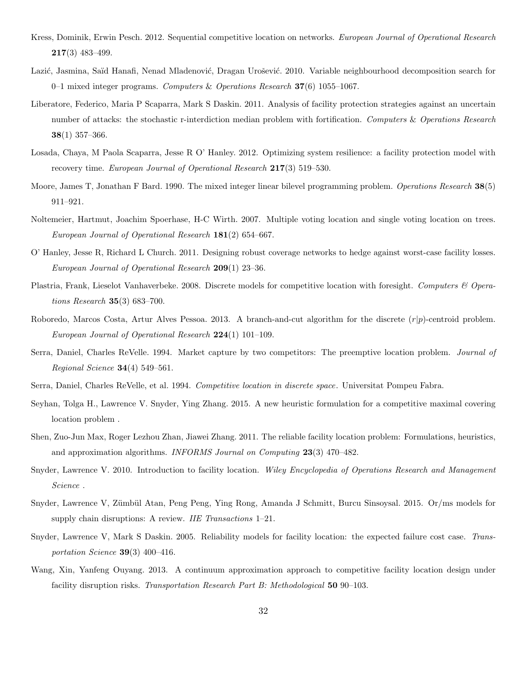- <span id="page-31-6"></span>Kress, Dominik, Erwin Pesch. 2012. Sequential competitive location on networks. European Journal of Operational Research 217(3) 483–499.
- <span id="page-31-16"></span>Lazić, Jasmina, Saïd Hanafi, Nenad Mladenović, Dragan Urošević. 2010. Variable neighbourhood decomposition search for 0–1 mixed integer programs. Computers & Operations Research 37(6) 1055–1067.
- <span id="page-31-12"></span>Liberatore, Federico, Maria P Scaparra, Mark S Daskin. 2011. Analysis of facility protection strategies against an uncertain number of attacks: the stochastic r-interdiction median problem with fortification. Computers & Operations Research **38**(1) 357–366.
- <span id="page-31-13"></span>Losada, Chaya, M Paola Scaparra, Jesse R O' Hanley. 2012. Optimizing system resilience: a facility protection model with recovery time. European Journal of Operational Research 217(3) 519–530.
- <span id="page-31-15"></span>Moore, James T, Jonathan F Bard. 1990. The mixed integer linear bilevel programming problem. *Operations Research* 38(5) 911–921.
- <span id="page-31-3"></span>Noltemeier, Hartmut, Joachim Spoerhase, H-C Wirth. 2007. Multiple voting location and single voting location on trees. European Journal of Operational Research 181(2) 654–667.
- <span id="page-31-11"></span>O' Hanley, Jesse R, Richard L Church. 2011. Designing robust coverage networks to hedge against worst-case facility losses. European Journal of Operational Research 209(1) 23–36.
- <span id="page-31-8"></span>Plastria, Frank, Lieselot Vanhaverbeke. 2008. Discrete models for competitive location with foresight. Computers & Operations Research 35(3) 683–700.
- <span id="page-31-7"></span>Roboredo, Marcos Costa, Artur Alves Pessoa. 2013. A branch-and-cut algorithm for the discrete  $(r|p)$ -centroid problem. European Journal of Operational Research 224(1) 101–109.
- <span id="page-31-1"></span>Serra, Daniel, Charles ReVelle. 1994. Market capture by two competitors: The preemptive location problem. Journal of Regional Science  $34(4)$  549-561.
- <span id="page-31-5"></span><span id="page-31-2"></span>Serra, Daniel, Charles ReVelle, et al. 1994. Competitive location in discrete space. Universitat Pompeu Fabra.
- Seyhan, Tolga H., Lawrence V. Snyder, Ying Zhang. 2015. A new heuristic formulation for a competitive maximal covering location problem .
- <span id="page-31-9"></span>Shen, Zuo-Jun Max, Roger Lezhou Zhan, Jiawei Zhang. 2011. The reliable facility location problem: Formulations, heuristics, and approximation algorithms. INFORMS Journal on Computing 23(3) 470–482.
- <span id="page-31-4"></span>Snyder, Lawrence V. 2010. Introduction to facility location. Wiley Encyclopedia of Operations Research and Management Science .
- <span id="page-31-10"></span>Snyder, Lawrence V, Zümbül Atan, Peng Peng, Ying Rong, Amanda J Schmitt, Burcu Sinsoysal. 2015. Or/ms models for supply chain disruptions: A review. IIE Transactions 1-21.
- <span id="page-31-0"></span>Snyder, Lawrence V, Mark S Daskin. 2005. Reliability models for facility location: the expected failure cost case. Transportation Science 39(3) 400–416.
- <span id="page-31-14"></span>Wang, Xin, Yanfeng Ouyang. 2013. A continuum approximation approach to competitive facility location design under facility disruption risks. Transportation Research Part B: Methodological 50 90–103.